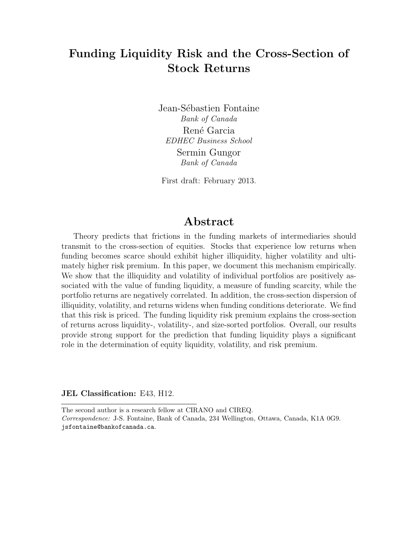# **Funding Liquidity Risk and the Cross-Section of Stock Returns**

Jean-Sébastien Fontaine *Bank of Canada* René Garcia *EDHEC Business School* Sermin Gungor *Bank of Canada*

First draft: February 2013.

# **Abstract**

Theory predicts that frictions in the funding markets of intermediaries should transmit to the cross-section of equities. Stocks that experience low returns when funding becomes scarce should exhibit higher illiquidity, higher volatility and ultimately higher risk premium. In this paper, we document this mechanism empirically. We show that the illiquidity and volatility of individual portfolios are positively associated with the value of funding liquidity, a measure of funding scarcity, while the portfolio returns are negatively correlated. In addition, the cross-section dispersion of illiquidity, volatility, and returns widens when funding conditions deteriorate. We find that this risk is priced. The funding liquidity risk premium explains the cross-section of returns across liquidity-, volatility-, and size-sorted portfolios. Overall, our results provide strong support for the prediction that funding liquidity plays a significant role in the determination of equity liquidity, volatility, and risk premium.

**JEL Classification:** E43, H12.

The second author is a research fellow at CIRANO and CIREQ.

*Correspondence:* J-S. Fontaine, Bank of Canada, 234 Wellington, Ottawa, Canada, K1A 0G9. jsfontaine@bankofcanada.ca.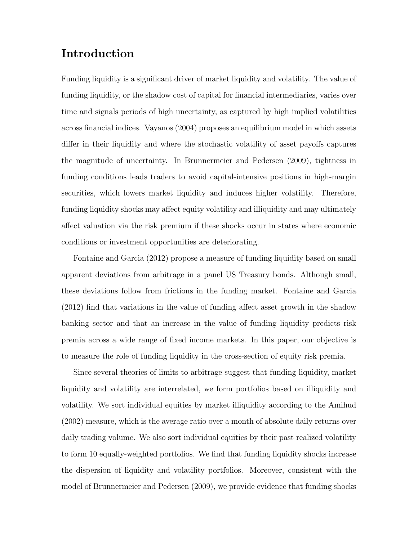# **Introduction**

Funding liquidity is a significant driver of market liquidity and volatility. The value of funding liquidity, or the shadow cost of capital for financial intermediaries, varies over time and signals periods of high uncertainty, as captured by high implied volatilities across financial indices. Vayanos (2004) proposes an equilibrium model in which assets differ in their liquidity and where the stochastic volatility of asset payoffs captures the magnitude of uncertainty. In Brunnermeier and Pedersen (2009), tightness in funding conditions leads traders to avoid capital-intensive positions in high-margin securities, which lowers market liquidity and induces higher volatility. Therefore, funding liquidity shocks may affect equity volatility and illiquidity and may ultimately affect valuation via the risk premium if these shocks occur in states where economic conditions or investment opportunities are deteriorating.

Fontaine and Garcia (2012) propose a measure of funding liquidity based on small apparent deviations from arbitrage in a panel US Treasury bonds. Although small, these deviations follow from frictions in the funding market. Fontaine and Garcia (2012) find that variations in the value of funding affect asset growth in the shadow banking sector and that an increase in the value of funding liquidity predicts risk premia across a wide range of fixed income markets. In this paper, our objective is to measure the role of funding liquidity in the cross-section of equity risk premia.

Since several theories of limits to arbitrage suggest that funding liquidity, market liquidity and volatility are interrelated, we form portfolios based on illiquidity and volatility. We sort individual equities by market illiquidity according to the Amihud (2002) measure, which is the average ratio over a month of absolute daily returns over daily trading volume. We also sort individual equities by their past realized volatility to form 10 equally-weighted portfolios. We find that funding liquidity shocks increase the dispersion of liquidity and volatility portfolios. Moreover, consistent with the model of Brunnermeier and Pedersen (2009), we provide evidence that funding shocks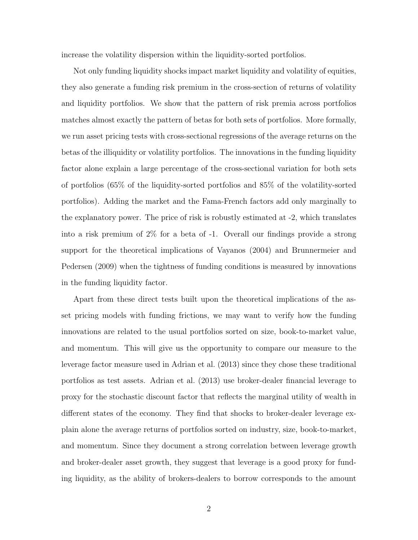increase the volatility dispersion within the liquidity-sorted portfolios.

Not only funding liquidity shocks impact market liquidity and volatility of equities, they also generate a funding risk premium in the cross-section of returns of volatility and liquidity portfolios. We show that the pattern of risk premia across portfolios matches almost exactly the pattern of betas for both sets of portfolios. More formally, we run asset pricing tests with cross-sectional regressions of the average returns on the betas of the illiquidity or volatility portfolios. The innovations in the funding liquidity factor alone explain a large percentage of the cross-sectional variation for both sets of portfolios (65% of the liquidity-sorted portfolios and 85% of the volatility-sorted portfolios). Adding the market and the Fama-French factors add only marginally to the explanatory power. The price of risk is robustly estimated at -2, which translates into a risk premium of 2% for a beta of -1. Overall our findings provide a strong support for the theoretical implications of Vayanos (2004) and Brunnermeier and Pedersen (2009) when the tightness of funding conditions is measured by innovations in the funding liquidity factor.

Apart from these direct tests built upon the theoretical implications of the asset pricing models with funding frictions, we may want to verify how the funding innovations are related to the usual portfolios sorted on size, book-to-market value, and momentum. This will give us the opportunity to compare our measure to the leverage factor measure used in Adrian et al. (2013) since they chose these traditional portfolios as test assets. Adrian et al. (2013) use broker-dealer financial leverage to proxy for the stochastic discount factor that reflects the marginal utility of wealth in different states of the economy. They find that shocks to broker-dealer leverage explain alone the average returns of portfolios sorted on industry, size, book-to-market, and momentum. Since they document a strong correlation between leverage growth and broker-dealer asset growth, they suggest that leverage is a good proxy for funding liquidity, as the ability of brokers-dealers to borrow corresponds to the amount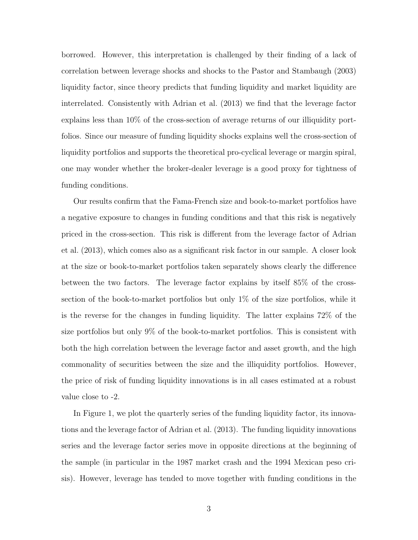borrowed. However, this interpretation is challenged by their finding of a lack of correlation between leverage shocks and shocks to the Pastor and Stambaugh (2003) liquidity factor, since theory predicts that funding liquidity and market liquidity are interrelated. Consistently with Adrian et al. (2013) we find that the leverage factor explains less than 10% of the cross-section of average returns of our illiquidity portfolios. Since our measure of funding liquidity shocks explains well the cross-section of liquidity portfolios and supports the theoretical pro-cyclical leverage or margin spiral, one may wonder whether the broker-dealer leverage is a good proxy for tightness of funding conditions.

Our results confirm that the Fama-French size and book-to-market portfolios have a negative exposure to changes in funding conditions and that this risk is negatively priced in the cross-section. This risk is different from the leverage factor of Adrian et al. (2013), which comes also as a significant risk factor in our sample. A closer look at the size or book-to-market portfolios taken separately shows clearly the difference between the two factors. The leverage factor explains by itself 85% of the crosssection of the book-to-market portfolios but only 1% of the size portfolios, while it is the reverse for the changes in funding liquidity. The latter explains 72% of the size portfolios but only 9% of the book-to-market portfolios. This is consistent with both the high correlation between the leverage factor and asset growth, and the high commonality of securities between the size and the illiquidity portfolios. However, the price of risk of funding liquidity innovations is in all cases estimated at a robust value close to -2.

In Figure 1, we plot the quarterly series of the funding liquidity factor, its innovations and the leverage factor of Adrian et al. (2013). The funding liquidity innovations series and the leverage factor series move in opposite directions at the beginning of the sample (in particular in the 1987 market crash and the 1994 Mexican peso crisis). However, leverage has tended to move together with funding conditions in the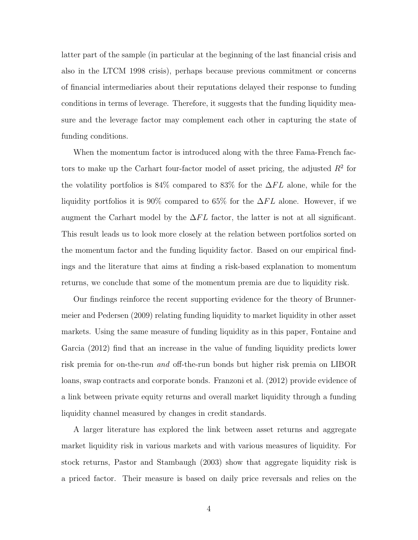latter part of the sample (in particular at the beginning of the last financial crisis and also in the LTCM 1998 crisis), perhaps because previous commitment or concerns of financial intermediaries about their reputations delayed their response to funding conditions in terms of leverage. Therefore, it suggests that the funding liquidity measure and the leverage factor may complement each other in capturing the state of funding conditions.

When the momentum factor is introduced along with the three Fama-French factors to make up the Carhart four-factor model of asset pricing, the adjusted *R*<sup>2</sup> for the volatility portfolios is 84% compared to 83% for the ∆*F L* alone, while for the liquidity portfolios it is 90% compared to 65% for the ∆*F L* alone. However, if we augment the Carhart model by the  $\Delta FL$  factor, the latter is not at all significant. This result leads us to look more closely at the relation between portfolios sorted on the momentum factor and the funding liquidity factor. Based on our empirical findings and the literature that aims at finding a risk-based explanation to momentum returns, we conclude that some of the momentum premia are due to liquidity risk.

Our findings reinforce the recent supporting evidence for the theory of Brunnermeier and Pedersen (2009) relating funding liquidity to market liquidity in other asset markets. Using the same measure of funding liquidity as in this paper, Fontaine and Garcia (2012) find that an increase in the value of funding liquidity predicts lower risk premia for on-the-run *and* off-the-run bonds but higher risk premia on LIBOR loans, swap contracts and corporate bonds. Franzoni et al. (2012) provide evidence of a link between private equity returns and overall market liquidity through a funding liquidity channel measured by changes in credit standards.

A larger literature has explored the link between asset returns and aggregate market liquidity risk in various markets and with various measures of liquidity. For stock returns, Pastor and Stambaugh (2003) show that aggregate liquidity risk is a priced factor. Their measure is based on daily price reversals and relies on the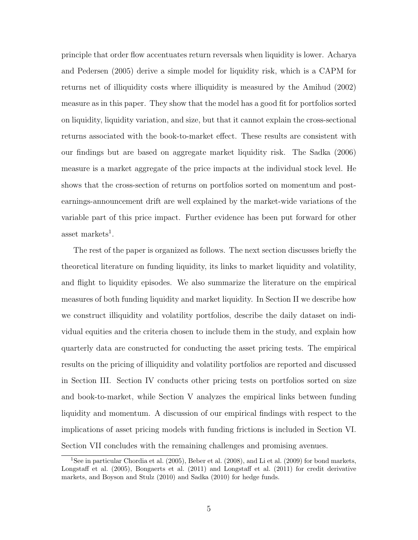principle that order flow accentuates return reversals when liquidity is lower. Acharya and Pedersen (2005) derive a simple model for liquidity risk, which is a CAPM for returns net of illiquidity costs where illiquidity is measured by the Amihud (2002) measure as in this paper. They show that the model has a good fit for portfolios sorted on liquidity, liquidity variation, and size, but that it cannot explain the cross-sectional returns associated with the book-to-market effect. These results are consistent with our findings but are based on aggregate market liquidity risk. The Sadka (2006) measure is a market aggregate of the price impacts at the individual stock level. He shows that the cross-section of returns on portfolios sorted on momentum and postearnings-announcement drift are well explained by the market-wide variations of the variable part of this price impact. Further evidence has been put forward for other asset markets<sup>1</sup>.

The rest of the paper is organized as follows. The next section discusses briefly the theoretical literature on funding liquidity, its links to market liquidity and volatility, and flight to liquidity episodes. We also summarize the literature on the empirical measures of both funding liquidity and market liquidity. In Section II we describe how we construct illiquidity and volatility portfolios, describe the daily dataset on individual equities and the criteria chosen to include them in the study, and explain how quarterly data are constructed for conducting the asset pricing tests. The empirical results on the pricing of illiquidity and volatility portfolios are reported and discussed in Section III. Section IV conducts other pricing tests on portfolios sorted on size and book-to-market, while Section V analyzes the empirical links between funding liquidity and momentum. A discussion of our empirical findings with respect to the implications of asset pricing models with funding frictions is included in Section VI. Section VII concludes with the remaining challenges and promising avenues.

<sup>&</sup>lt;sup>1</sup>See in particular Chordia et al. (2005), Beber et al. (2008), and Li et al. (2009) for bond markets, Longstaff et al. (2005), Bongaerts et al. (2011) and Longstaff et al. (2011) for credit derivative markets, and Boyson and Stulz (2010) and Sadka (2010) for hedge funds.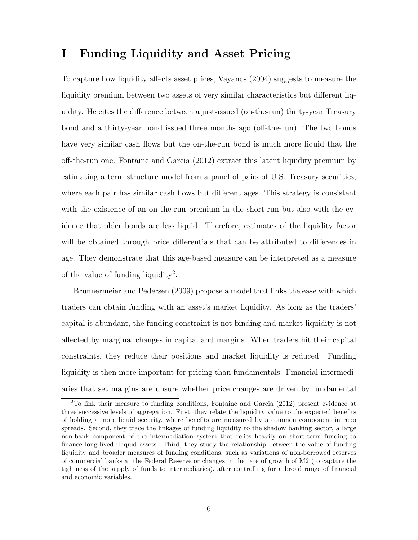# **I Funding Liquidity and Asset Pricing**

To capture how liquidity affects asset prices, Vayanos (2004) suggests to measure the liquidity premium between two assets of very similar characteristics but different liquidity. He cites the difference between a just-issued (on-the-run) thirty-year Treasury bond and a thirty-year bond issued three months ago (off-the-run). The two bonds have very similar cash flows but the on-the-run bond is much more liquid that the off-the-run one. Fontaine and Garcia (2012) extract this latent liquidity premium by estimating a term structure model from a panel of pairs of U.S. Treasury securities, where each pair has similar cash flows but different ages. This strategy is consistent with the existence of an on-the-run premium in the short-run but also with the evidence that older bonds are less liquid. Therefore, estimates of the liquidity factor will be obtained through price differentials that can be attributed to differences in age. They demonstrate that this age-based measure can be interpreted as a measure of the value of funding liquidity<sup>2</sup>.

Brunnermeier and Pedersen (2009) propose a model that links the ease with which traders can obtain funding with an asset's market liquidity. As long as the traders' capital is abundant, the funding constraint is not binding and market liquidity is not affected by marginal changes in capital and margins. When traders hit their capital constraints, they reduce their positions and market liquidity is reduced. Funding liquidity is then more important for pricing than fundamentals. Financial intermediaries that set margins are unsure whether price changes are driven by fundamental

<sup>2</sup>To link their measure to funding conditions, Fontaine and Garcia (2012) present evidence at three successive levels of aggregation. First, they relate the liquidity value to the expected benefits of holding a more liquid security, where benefits are measured by a common component in repo spreads. Second, they trace the linkages of funding liquidity to the shadow banking sector, a large non-bank component of the intermediation system that relies heavily on short-term funding to finance long-lived illiquid assets. Third, they study the relationship between the value of funding liquidity and broader measures of funding conditions, such as variations of non-borrowed reserves of commercial banks at the Federal Reserve or changes in the rate of growth of M2 (to capture the tightness of the supply of funds to intermediaries), after controlling for a broad range of financial and economic variables.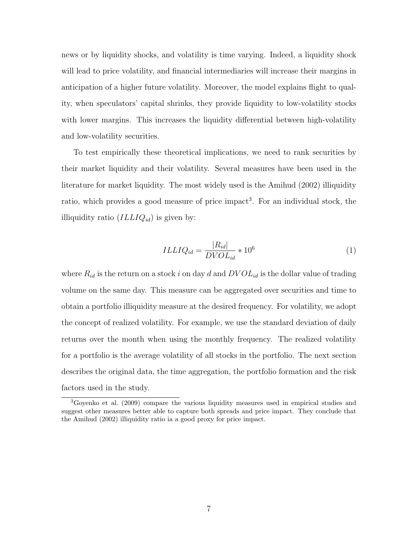news or by liquidity shocks, and volatility is time varying. Indeed, a liquidity shock will lead to price volatility, and financial intermediaries will increase their margins in anticipation of a higher future volatility. Moreover, the model explains flight to quality, when speculators' capital shrinks, they provide liquidity to low-volatility stocks with lower margins. This increases the liquidity differential between high-volatility and low-volatility securities.

To test empirically these theoretical implications, we need to rank securities by their market liquidity and their volatility. Several measures have been used in the literature for market liquidity. The most widely used is the Amihud (2002) illiquidity ratio, which provides a good measure of price impact<sup>3</sup>. For an individual stock, the illiquidity ratio (*ILLIQid*) is given by:

$$
ILLIQ_{id} = \frac{|R_{id}|}{DVOL_{id}} * 10^6
$$
\n<sup>(1)</sup>

where  $R_{id}$  is the return on a stock *i* on day *d* and  $DVOL_{id}$  is the dollar value of trading volume on the same day. This measure can be aggregated over securities and time to obtain a portfolio illiquidity measure at the desired frequency. For volatility, we adopt the concept of realized volatility. For example, we use the standard deviation of daily returns over the month when using the monthly frequency. The realized volatility for a portfolio is the average volatility of all stocks in the portfolio. The next section describes the original data, the time aggregation, the portfolio formation and the risk factors used in the study.

<sup>3</sup>Goyenko et al. (2009) compare the various liquidity measures used in empirical studies and suggest other measures better able to capture both spreads and price impact. They conclude that the Amihud (2002) illiquidity ratio ia a good proxy for price impact.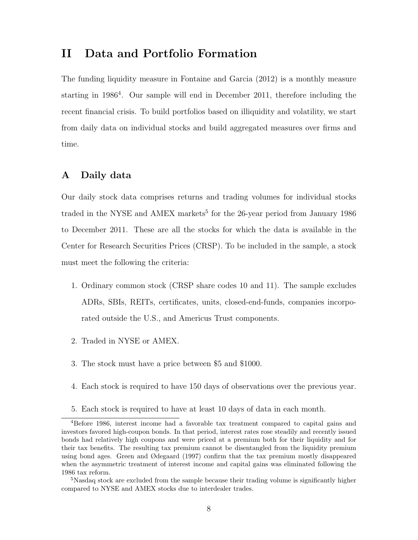# **II Data and Portfolio Formation**

The funding liquidity measure in Fontaine and Garcia (2012) is a monthly measure starting in 1986<sup>4</sup>. Our sample will end in December 2011, therefore including the recent financial crisis. To build portfolios based on illiquidity and volatility, we start from daily data on individual stocks and build aggregated measures over firms and time.

#### **A Daily data**

Our daily stock data comprises returns and trading volumes for individual stocks traded in the NYSE and AMEX markets<sup>5</sup> for the 26-year period from January 1986 to December 2011. These are all the stocks for which the data is available in the Center for Research Securities Prices (CRSP). To be included in the sample, a stock must meet the following the criteria:

- 1. Ordinary common stock (CRSP share codes 10 and 11). The sample excludes ADRs, SBIs, REITs, certificates, units, closed-end-funds, companies incorporated outside the U.S., and Americus Trust components.
- 2. Traded in NYSE or AMEX.
- 3. The stock must have a price between \$5 and \$1000.
- 4. Each stock is required to have 150 days of observations over the previous year.
- 5. Each stock is required to have at least 10 days of data in each month.

<sup>4</sup>Before 1986, interest income had a favorable tax treatment compared to capital gains and investors favored high-coupon bonds. In that period, interest rates rose steadily and recently issued bonds had relatively high coupons and were priced at a premium both for their liquidity and for their tax benefits. The resulting tax premium cannot be disentangled from the liquidity premium using bond ages. Green and Ødegaard (1997) confirm that the tax premium mostly disappeared when the asymmetric treatment of interest income and capital gains was eliminated following the 1986 tax reform.

<sup>&</sup>lt;sup>5</sup>Nasdaq stock are excluded from the sample because their trading volume is significantly higher compared to NYSE and AMEX stocks due to interdealer trades.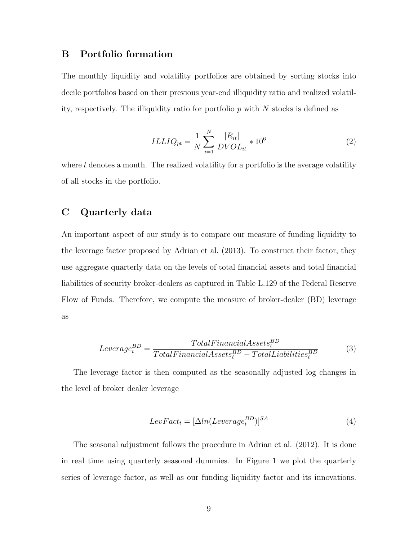#### **B Portfolio formation**

The monthly liquidity and volatility portfolios are obtained by sorting stocks into decile portfolios based on their previous year-end illiquidity ratio and realized volatility, respectively. The illiquidity ratio for portfolio *p* with *N* stocks is defined as

$$
ILLIQ_{pt} = \frac{1}{N} \sum_{i=1}^{N} \frac{|R_{it}|}{DVOL_{it}} * 10^6
$$
 (2)

where *t* denotes a month. The realized volatility for a portfolio is the average volatility of all stocks in the portfolio.

### **C Quarterly data**

An important aspect of our study is to compare our measure of funding liquidity to the leverage factor proposed by Adrian et al. (2013). To construct their factor, they use aggregate quarterly data on the levels of total financial assets and total financial liabilities of security broker-dealers as captured in Table L.129 of the Federal Reserve Flow of Funds. Therefore, we compute the measure of broker-dealer (BD) leverage as

$$
Leverage_t^{BD} = \frac{TotalFinancial Assets_t^{BD}}{TotalFinancial Assets_t^{BD} - Total Liabilities_t^{BD}}
$$
(3)

The leverage factor is then computed as the seasonally adjusted log changes in the level of broker dealer leverage

$$
LevFact_t = [\Delta ln(Leverage_t^{BD})]^{SA}
$$
\n(4)

The seasonal adjustment follows the procedure in Adrian et al. (2012). It is done in real time using quarterly seasonal dummies. In Figure 1 we plot the quarterly series of leverage factor, as well as our funding liquidity factor and its innovations.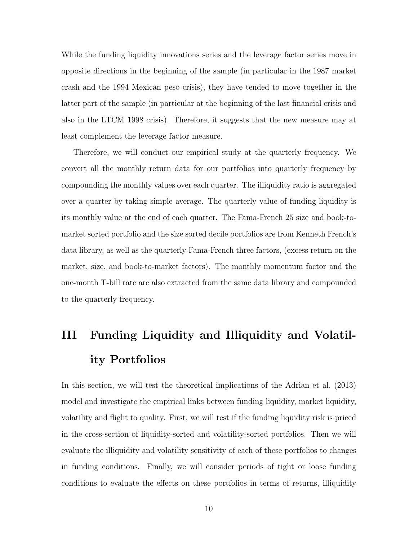While the funding liquidity innovations series and the leverage factor series move in opposite directions in the beginning of the sample (in particular in the 1987 market crash and the 1994 Mexican peso crisis), they have tended to move together in the latter part of the sample (in particular at the beginning of the last financial crisis and also in the LTCM 1998 crisis). Therefore, it suggests that the new measure may at least complement the leverage factor measure.

Therefore, we will conduct our empirical study at the quarterly frequency. We convert all the monthly return data for our portfolios into quarterly frequency by compounding the monthly values over each quarter. The illiquidity ratio is aggregated over a quarter by taking simple average. The quarterly value of funding liquidity is its monthly value at the end of each quarter. The Fama-French 25 size and book-tomarket sorted portfolio and the size sorted decile portfolios are from Kenneth French's data library, as well as the quarterly Fama-French three factors, (excess return on the market, size, and book-to-market factors). The monthly momentum factor and the one-month T-bill rate are also extracted from the same data library and compounded to the quarterly frequency.

# **III Funding Liquidity and Illiquidity and Volatility Portfolios**

In this section, we will test the theoretical implications of the Adrian et al. (2013) model and investigate the empirical links between funding liquidity, market liquidity, volatility and flight to quality. First, we will test if the funding liquidity risk is priced in the cross-section of liquidity-sorted and volatility-sorted portfolios. Then we will evaluate the illiquidity and volatility sensitivity of each of these portfolios to changes in funding conditions. Finally, we will consider periods of tight or loose funding conditions to evaluate the effects on these portfolios in terms of returns, illiquidity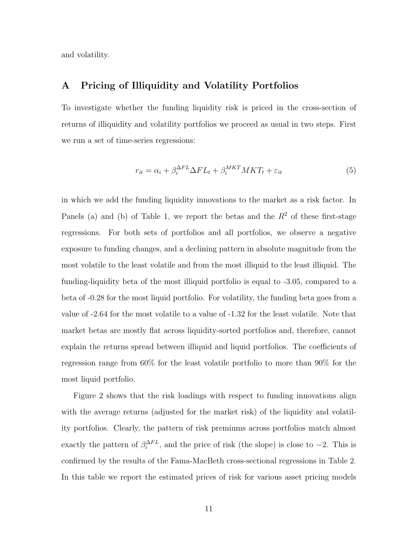and volatility.

#### **A Pricing of Illiquidity and Volatility Portfolios**

To investigate whether the funding liquidity risk is priced in the cross-section of returns of illiquidity and volatility portfolios we proceed as usual in two steps. First we run a set of time-series regressions:

$$
r_{it} = \alpha_i + \beta_i^{\Delta FL} \Delta FL_t + \beta_i^{MKT} MKT_t + \varepsilon_{it}
$$
\n
$$
\tag{5}
$$

in which we add the funding liquidity innovations to the market as a risk factor. In Panels (a) and (b) of Table 1, we report the betas and the  $R^2$  of these first-stage regressions. For both sets of portfolios and all portfolios, we observe a negative exposure to funding changes, and a declining pattern in absolute magnitude from the most volatile to the least volatile and from the most illiquid to the least illiquid. The funding-liquidity beta of the most illiquid portfolio is equal to -3.05, compared to a beta of -0.28 for the most liquid portfolio. For volatility, the funding beta goes from a value of -2.64 for the most volatile to a value of -1.32 for the least volatile. Note that market betas are mostly flat across liquidity-sorted portfolios and, therefore, cannot explain the returns spread between illiquid and liquid portfolios. The coefficients of regression range from 60% for the least volatile portfolio to more than 90% for the most liquid portfolio.

Figure 2 shows that the risk loadings with respect to funding innovations align with the average returns (adjusted for the market risk) of the liquidity and volatility portfolios. Clearly, the pattern of risk premiums across portfolios match almost exactly the pattern of  $\beta_i^{\Delta FL}$ , and the price of risk (the slope) is close to *−2*. This is confirmed by the results of the Fama-MacBeth cross-sectional regressions in Table 2. In this table we report the estimated prices of risk for various asset pricing models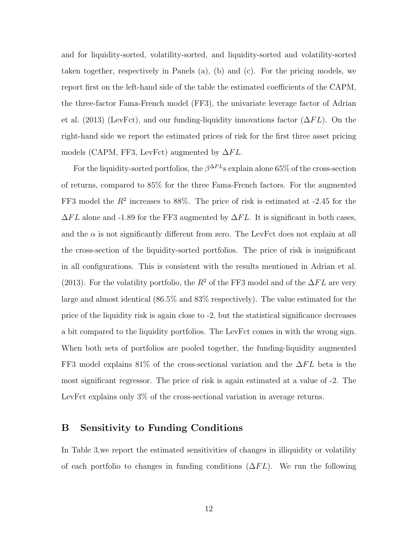and for liquidity-sorted, volatility-sorted, and liquidity-sorted and volatility-sorted taken together, respectively in Panels (a), (b) and (c). For the pricing models, we report first on the left-hand side of the table the estimated coefficients of the CAPM, the three-factor Fama-French model (FF3), the univariate leverage factor of Adrian et al. (2013) (LevFct), and our funding-liquidity innovations factor (∆*F L*). On the right-hand side we report the estimated prices of risk for the first three asset pricing models (CAPM, FF3, LevFct) augmented by ∆*F L*.

For the liquidity-sorted portfolios, the  $\beta^{\Delta FL}$ s explain alone 65% of the cross-section of returns, compared to 85% for the three Fama-French factors. For the augmented FF3 model the  $R^2$  increases to 88%. The price of risk is estimated at  $-2.45$  for the  $\Delta FL$  alone and -1.89 for the FF3 augmented by  $\Delta FL$ . It is significant in both cases, and the  $\alpha$  is not significantly different from zero. The LevFct does not explain at all the cross-section of the liquidity-sorted portfolios. The price of risk is insignificant in all configurations. This is consistent with the results mentioned in Adrian et al. (2013). For the volatility portfolio, the  $R^2$  of the FF3 model and of the  $\Delta FL$  are very large and almost identical (86.5% and 83% respectively). The value estimated for the price of the liquidity risk is again close to -2, but the statistical significance decreases a bit compared to the liquidity portfolios. The LevFct comes in with the wrong sign. When both sets of portfolios are pooled together, the funding-liquidity augmented FF3 model explains 81% of the cross-sectional variation and the ∆*F L* beta is the most significant regressor. The price of risk is again estimated at a value of -2. The LevFct explains only 3% of the cross-sectional variation in average returns.

#### **B Sensitivity to Funding Conditions**

In Table 3,we report the estimated sensitivities of changes in illiquidity or volatility of each portfolio to changes in funding conditions (∆*F L*). We run the following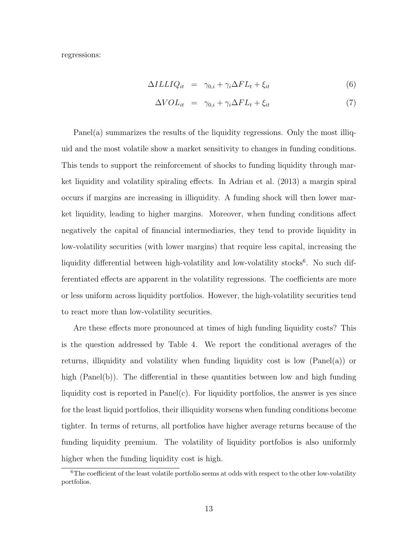regressions:

$$
\Delta ILLIQ_{it} = \gamma_{0,i} + \gamma_i \Delta FL_t + \xi_{it} \tag{6}
$$

$$
\Delta VOL_{it} = \gamma_{0,i} + \gamma_i \Delta FL_t + \xi_{it} \tag{7}
$$

Panel(a) summarizes the results of the liquidity regressions. Only the most illiquid and the most volatile show a market sensitivity to changes in funding conditions. This tends to support the reinforcement of shocks to funding liquidity through market liquidity and volatility spiraling effects. In Adrian et al. (2013) a margin spiral occurs if margins are increasing in illiquidity. A funding shock will then lower market liquidity, leading to higher margins. Moreover, when funding conditions affect negatively the capital of financial intermediaries, they tend to provide liquidity in low-volatility securities (with lower margins) that require less capital, increasing the liquidity differential between high-volatility and low-volatility stocks<sup>6</sup>. No such differentiated effects are apparent in the volatility regressions. The coefficients are more or less uniform across liquidity portfolios. However, the high-volatility securities tend to react more than low-volatility securities.

Are these effects more pronounced at times of high funding liquidity costs? This is the question addressed by Table 4. We report the conditional averages of the returns, illiquidity and volatility when funding liquidity cost is low (Panel(a)) or high (Panel(b)). The differential in these quantities between low and high funding liquidity cost is reported in  $PaneI(c)$ . For liquidity portfolios, the answer is yes since for the least liquid portfolios, their illiquidity worsens when funding conditions become tighter. In terms of returns, all portfolios have higher average returns because of the funding liquidity premium. The volatility of liquidity portfolios is also uniformly higher when the funding liquidity cost is high.

 ${}^{6}$ The coefficient of the least volatile portfolio seems at odds with respect to the other low-volatility portfolios.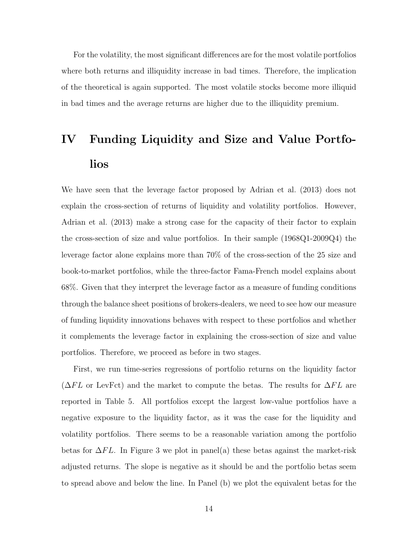For the volatility, the most significant differences are for the most volatile portfolios where both returns and illiquidity increase in bad times. Therefore, the implication of the theoretical is again supported. The most volatile stocks become more illiquid in bad times and the average returns are higher due to the illiquidity premium.

# **IV Funding Liquidity and Size and Value Portfolios**

We have seen that the leverage factor proposed by Adrian et al. (2013) does not explain the cross-section of returns of liquidity and volatility portfolios. However, Adrian et al. (2013) make a strong case for the capacity of their factor to explain the cross-section of size and value portfolios. In their sample (1968Q1-2009Q4) the leverage factor alone explains more than 70% of the cross-section of the 25 size and book-to-market portfolios, while the three-factor Fama-French model explains about 68%. Given that they interpret the leverage factor as a measure of funding conditions through the balance sheet positions of brokers-dealers, we need to see how our measure of funding liquidity innovations behaves with respect to these portfolios and whether it complements the leverage factor in explaining the cross-section of size and value portfolios. Therefore, we proceed as before in two stages.

First, we run time-series regressions of portfolio returns on the liquidity factor (∆*F L* or LevFct) and the market to compute the betas. The results for ∆*F L* are reported in Table 5. All portfolios except the largest low-value portfolios have a negative exposure to the liquidity factor, as it was the case for the liquidity and volatility portfolios. There seems to be a reasonable variation among the portfolio betas for ∆*F L*. In Figure 3 we plot in panel(a) these betas against the market-risk adjusted returns. The slope is negative as it should be and the portfolio betas seem to spread above and below the line. In Panel (b) we plot the equivalent betas for the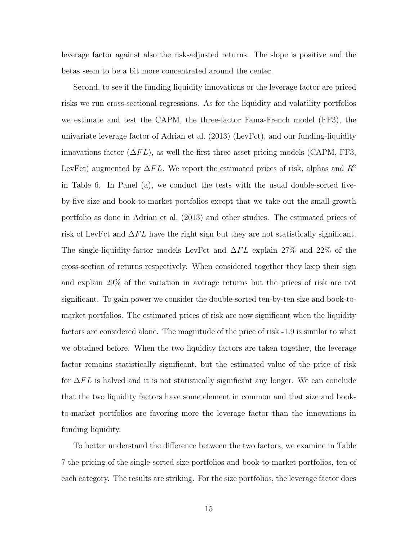leverage factor against also the risk-adjusted returns. The slope is positive and the betas seem to be a bit more concentrated around the center.

Second, to see if the funding liquidity innovations or the leverage factor are priced risks we run cross-sectional regressions. As for the liquidity and volatility portfolios we estimate and test the CAPM, the three-factor Fama-French model (FF3), the univariate leverage factor of Adrian et al. (2013) (LevFct), and our funding-liquidity innovations factor  $(\Delta FL)$ , as well the first three asset pricing models (CAPM, FF3, LevFct) augmented by ∆*F L*. We report the estimated prices of risk, alphas and *R*<sup>2</sup> in Table 6. In Panel (a), we conduct the tests with the usual double-sorted fiveby-five size and book-to-market portfolios except that we take out the small-growth portfolio as done in Adrian et al. (2013) and other studies. The estimated prices of risk of LevFct and ∆*F L* have the right sign but they are not statistically significant. The single-liquidity-factor models LevFct and ∆*F L* explain 27% and 22% of the cross-section of returns respectively. When considered together they keep their sign and explain 29% of the variation in average returns but the prices of risk are not significant. To gain power we consider the double-sorted ten-by-ten size and book-tomarket portfolios. The estimated prices of risk are now significant when the liquidity factors are considered alone. The magnitude of the price of risk -1.9 is similar to what we obtained before. When the two liquidity factors are taken together, the leverage factor remains statistically significant, but the estimated value of the price of risk for ∆*F L* is halved and it is not statistically significant any longer. We can conclude that the two liquidity factors have some element in common and that size and bookto-market portfolios are favoring more the leverage factor than the innovations in funding liquidity.

To better understand the difference between the two factors, we examine in Table 7 the pricing of the single-sorted size portfolios and book-to-market portfolios, ten of each category. The results are striking. For the size portfolios, the leverage factor does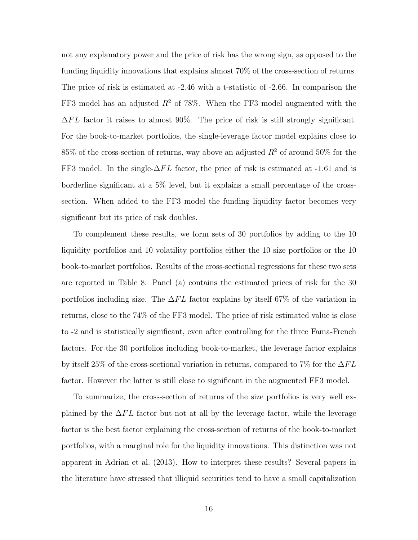not any explanatory power and the price of risk has the wrong sign, as opposed to the funding liquidity innovations that explains almost 70% of the cross-section of returns. The price of risk is estimated at -2.46 with a t-statistic of -2.66. In comparison the FF3 model has an adjusted *R*<sup>2</sup> of 78%. When the FF3 model augmented with the  $\Delta FL$  factor it raises to almost 90%. The price of risk is still strongly significant. For the book-to-market portfolios, the single-leverage factor model explains close to 85% of the cross-section of returns, way above an adjusted *R*<sup>2</sup> of around 50% for the FF3 model. In the single-∆*F L* factor, the price of risk is estimated at -1.61 and is borderline significant at a 5% level, but it explains a small percentage of the crosssection. When added to the FF3 model the funding liquidity factor becomes very significant but its price of risk doubles.

To complement these results, we form sets of 30 portfolios by adding to the 10 liquidity portfolios and 10 volatility portfolios either the 10 size portfolios or the 10 book-to-market portfolios. Results of the cross-sectional regressions for these two sets are reported in Table 8. Panel (a) contains the estimated prices of risk for the 30 portfolios including size. The ∆*F L* factor explains by itself 67% of the variation in returns, close to the 74% of the FF3 model. The price of risk estimated value is close to -2 and is statistically significant, even after controlling for the three Fama-French factors. For the 30 portfolios including book-to-market, the leverage factor explains by itself 25% of the cross-sectional variation in returns, compared to 7% for the ∆*F L* factor. However the latter is still close to significant in the augmented FF3 model.

To summarize, the cross-section of returns of the size portfolios is very well explained by the ∆*F L* factor but not at all by the leverage factor, while the leverage factor is the best factor explaining the cross-section of returns of the book-to-market portfolios, with a marginal role for the liquidity innovations. This distinction was not apparent in Adrian et al. (2013). How to interpret these results? Several papers in the literature have stressed that illiquid securities tend to have a small capitalization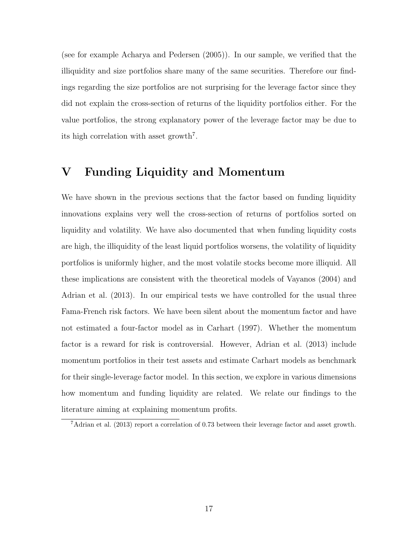(see for example Acharya and Pedersen (2005)). In our sample, we verified that the illiquidity and size portfolios share many of the same securities. Therefore our findings regarding the size portfolios are not surprising for the leverage factor since they did not explain the cross-section of returns of the liquidity portfolios either. For the value portfolios, the strong explanatory power of the leverage factor may be due to its high correlation with asset growth<sup>7</sup>.

# **V Funding Liquidity and Momentum**

We have shown in the previous sections that the factor based on funding liquidity innovations explains very well the cross-section of returns of portfolios sorted on liquidity and volatility. We have also documented that when funding liquidity costs are high, the illiquidity of the least liquid portfolios worsens, the volatility of liquidity portfolios is uniformly higher, and the most volatile stocks become more illiquid. All these implications are consistent with the theoretical models of Vayanos (2004) and Adrian et al. (2013). In our empirical tests we have controlled for the usual three Fama-French risk factors. We have been silent about the momentum factor and have not estimated a four-factor model as in Carhart (1997). Whether the momentum factor is a reward for risk is controversial. However, Adrian et al. (2013) include momentum portfolios in their test assets and estimate Carhart models as benchmark for their single-leverage factor model. In this section, we explore in various dimensions how momentum and funding liquidity are related. We relate our findings to the literature aiming at explaining momentum profits.

<sup>7</sup>Adrian et al. (2013) report a correlation of 0.73 between their leverage factor and asset growth.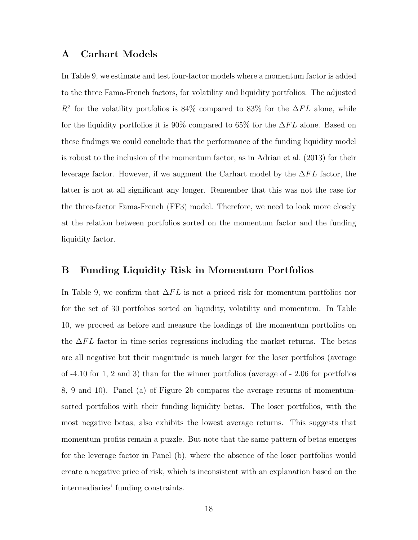#### **A Carhart Models**

In Table 9, we estimate and test four-factor models where a momentum factor is added to the three Fama-French factors, for volatility and liquidity portfolios. The adjusted  $R^2$  for the volatility portfolios is 84% compared to 83% for the  $\Delta FL$  alone, while for the liquidity portfolios it is 90% compared to 65% for the ∆*F L* alone. Based on these findings we could conclude that the performance of the funding liquidity model is robust to the inclusion of the momentum factor, as in Adrian et al. (2013) for their leverage factor. However, if we augment the Carhart model by the ∆*F L* factor, the latter is not at all significant any longer. Remember that this was not the case for the three-factor Fama-French (FF3) model. Therefore, we need to look more closely at the relation between portfolios sorted on the momentum factor and the funding liquidity factor.

#### **B Funding Liquidity Risk in Momentum Portfolios**

In Table 9, we confirm that ∆*F L* is not a priced risk for momentum portfolios nor for the set of 30 portfolios sorted on liquidity, volatility and momentum. In Table 10, we proceed as before and measure the loadings of the momentum portfolios on the ∆*F L* factor in time-series regressions including the market returns. The betas are all negative but their magnitude is much larger for the loser portfolios (average of -4.10 for 1, 2 and 3) than for the winner portfolios (average of - 2.06 for portfolios 8, 9 and 10). Panel (a) of Figure 2b compares the average returns of momentumsorted portfolios with their funding liquidity betas. The loser portfolios, with the most negative betas, also exhibits the lowest average returns. This suggests that momentum profits remain a puzzle. But note that the same pattern of betas emerges for the leverage factor in Panel (b), where the absence of the loser portfolios would create a negative price of risk, which is inconsistent with an explanation based on the intermediaries' funding constraints.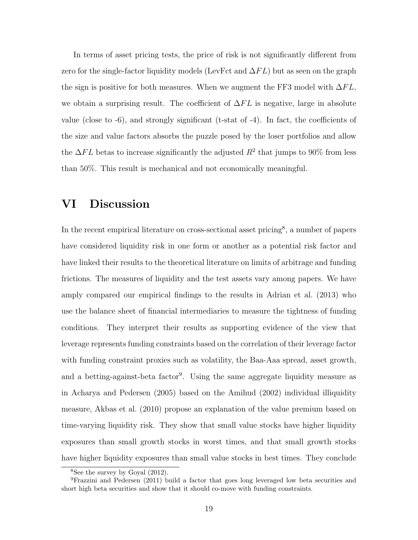In terms of asset pricing tests, the price of risk is not significantly different from zero for the single-factor liquidity models (LevFct and ∆*F L*) but as seen on the graph the sign is positive for both measures. When we augment the FF3 model with  $\Delta FL$ , we obtain a surprising result. The coefficient of ∆*F L* is negative, large in absolute value (close to -6), and strongly significant (t-stat of -4). In fact, the coefficients of the size and value factors absorbs the puzzle posed by the loser portfolios and allow the  $\Delta FL$  betas to increase significantly the adjusted  $R^2$  that jumps to 90% from less than 50%. This result is mechanical and not economically meaningful.

# **VI Discussion**

In the recent empirical literature on cross-sectional asset pricing<sup>8</sup>, a number of papers have considered liquidity risk in one form or another as a potential risk factor and have linked their results to the theoretical literature on limits of arbitrage and funding frictions. The measures of liquidity and the test assets vary among papers. We have amply compared our empirical findings to the results in Adrian et al. (2013) who use the balance sheet of financial intermediaries to measure the tightness of funding conditions. They interpret their results as supporting evidence of the view that leverage represents funding constraints based on the correlation of their leverage factor with funding constraint proxies such as volatility, the Baa-Aaa spread, asset growth, and a betting-against-beta factor<sup>9</sup>. Using the same aggregate liquidity measure as in Acharya and Pedersen (2005) based on the Amihud (2002) individual illiquidity measure, Akbas et al. (2010) propose an explanation of the value premium based on time-varying liquidity risk. They show that small value stocks have higher liquidity exposures than small growth stocks in worst times, and that small growth stocks have higher liquidity exposures than small value stocks in best times. They conclude

<sup>8</sup>See the survey by Goyal (2012).

<sup>9</sup>Frazzini and Pedersen (2011) build a factor that goes long leveraged low beta securities and short high beta securities and show that it should co-move with funding constraints.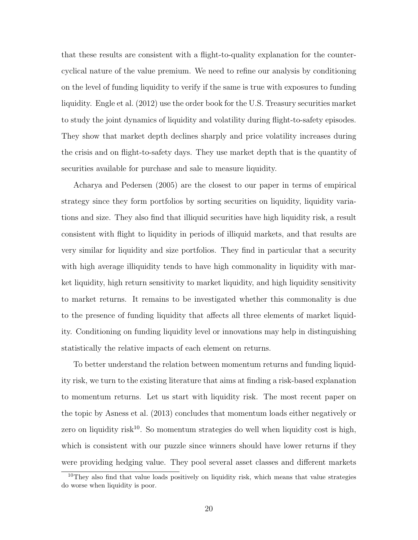that these results are consistent with a flight-to-quality explanation for the countercyclical nature of the value premium. We need to refine our analysis by conditioning on the level of funding liquidity to verify if the same is true with exposures to funding liquidity. Engle et al. (2012) use the order book for the U.S. Treasury securities market to study the joint dynamics of liquidity and volatility during flight-to-safety episodes. They show that market depth declines sharply and price volatility increases during the crisis and on flight-to-safety days. They use market depth that is the quantity of securities available for purchase and sale to measure liquidity.

Acharya and Pedersen (2005) are the closest to our paper in terms of empirical strategy since they form portfolios by sorting securities on liquidity, liquidity variations and size. They also find that illiquid securities have high liquidity risk, a result consistent with flight to liquidity in periods of illiquid markets, and that results are very similar for liquidity and size portfolios. They find in particular that a security with high average illiquidity tends to have high commonality in liquidity with market liquidity, high return sensitivity to market liquidity, and high liquidity sensitivity to market returns. It remains to be investigated whether this commonality is due to the presence of funding liquidity that affects all three elements of market liquidity. Conditioning on funding liquidity level or innovations may help in distinguishing statistically the relative impacts of each element on returns.

To better understand the relation between momentum returns and funding liquidity risk, we turn to the existing literature that aims at finding a risk-based explanation to momentum returns. Let us start with liquidity risk. The most recent paper on the topic by Asness et al. (2013) concludes that momentum loads either negatively or zero on liquidity risk<sup>10</sup>. So momentum strategies do well when liquidity cost is high, which is consistent with our puzzle since winners should have lower returns if they were providing hedging value. They pool several asset classes and different markets

<sup>&</sup>lt;sup>10</sup>They also find that value loads positively on liquidity risk, which means that value strategies do worse when liquidity is poor.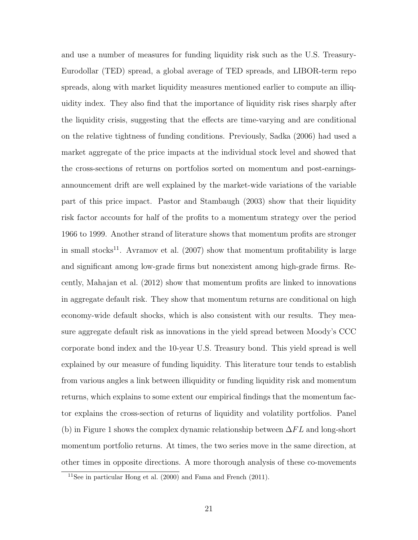and use a number of measures for funding liquidity risk such as the U.S. Treasury-Eurodollar (TED) spread, a global average of TED spreads, and LIBOR-term repo spreads, along with market liquidity measures mentioned earlier to compute an illiquidity index. They also find that the importance of liquidity risk rises sharply after the liquidity crisis, suggesting that the effects are time-varying and are conditional on the relative tightness of funding conditions. Previously, Sadka (2006) had used a market aggregate of the price impacts at the individual stock level and showed that the cross-sections of returns on portfolios sorted on momentum and post-earningsannouncement drift are well explained by the market-wide variations of the variable part of this price impact. Pastor and Stambaugh (2003) show that their liquidity risk factor accounts for half of the profits to a momentum strategy over the period 1966 to 1999. Another strand of literature shows that momentum profits are stronger in small stocks<sup>11</sup>. Avramov et al. (2007) show that momentum profitability is large and significant among low-grade firms but nonexistent among high-grade firms. Recently, Mahajan et al. (2012) show that momentum profits are linked to innovations in aggregate default risk. They show that momentum returns are conditional on high economy-wide default shocks, which is also consistent with our results. They measure aggregate default risk as innovations in the yield spread between Moody's CCC corporate bond index and the 10-year U.S. Treasury bond. This yield spread is well explained by our measure of funding liquidity. This literature tour tends to establish from various angles a link between illiquidity or funding liquidity risk and momentum returns, which explains to some extent our empirical findings that the momentum factor explains the cross-section of returns of liquidity and volatility portfolios. Panel (b) in Figure 1 shows the complex dynamic relationship between ∆*F L* and long-short momentum portfolio returns. At times, the two series move in the same direction, at other times in opposite directions. A more thorough analysis of these co-movements

 $11$ See in particular Hong et al. (2000) and Fama and French (2011).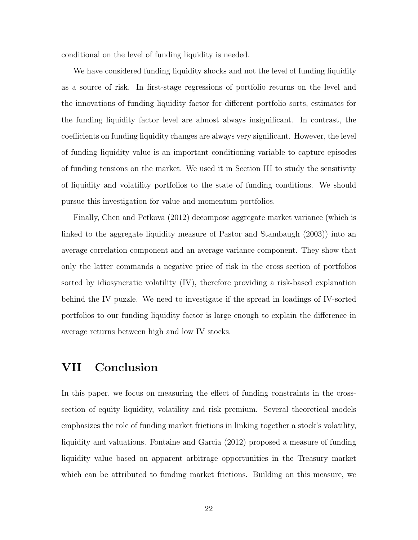conditional on the level of funding liquidity is needed.

We have considered funding liquidity shocks and not the level of funding liquidity as a source of risk. In first-stage regressions of portfolio returns on the level and the innovations of funding liquidity factor for different portfolio sorts, estimates for the funding liquidity factor level are almost always insignificant. In contrast, the coefficients on funding liquidity changes are always very significant. However, the level of funding liquidity value is an important conditioning variable to capture episodes of funding tensions on the market. We used it in Section III to study the sensitivity of liquidity and volatility portfolios to the state of funding conditions. We should pursue this investigation for value and momentum portfolios.

Finally, Chen and Petkova (2012) decompose aggregate market variance (which is linked to the aggregate liquidity measure of Pastor and Stambaugh (2003)) into an average correlation component and an average variance component. They show that only the latter commands a negative price of risk in the cross section of portfolios sorted by idiosyncratic volatility (IV), therefore providing a risk-based explanation behind the IV puzzle. We need to investigate if the spread in loadings of IV-sorted portfolios to our funding liquidity factor is large enough to explain the difference in average returns between high and low IV stocks.

## **VII Conclusion**

In this paper, we focus on measuring the effect of funding constraints in the crosssection of equity liquidity, volatility and risk premium. Several theoretical models emphasizes the role of funding market frictions in linking together a stock's volatility, liquidity and valuations. Fontaine and Garcia (2012) proposed a measure of funding liquidity value based on apparent arbitrage opportunities in the Treasury market which can be attributed to funding market frictions. Building on this measure, we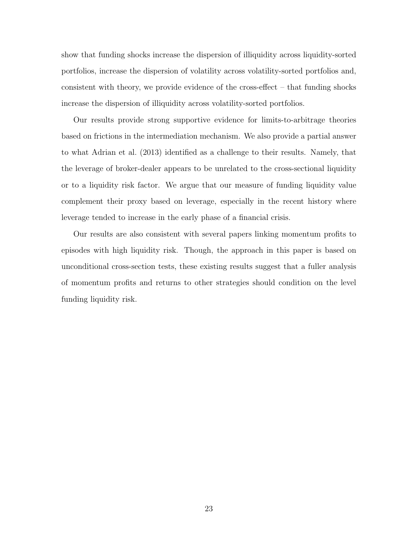show that funding shocks increase the dispersion of illiquidity across liquidity-sorted portfolios, increase the dispersion of volatility across volatility-sorted portfolios and, consistent with theory, we provide evidence of the cross-effect – that funding shocks increase the dispersion of illiquidity across volatility-sorted portfolios.

Our results provide strong supportive evidence for limits-to-arbitrage theories based on frictions in the intermediation mechanism. We also provide a partial answer to what Adrian et al. (2013) identified as a challenge to their results. Namely, that the leverage of broker-dealer appears to be unrelated to the cross-sectional liquidity or to a liquidity risk factor. We argue that our measure of funding liquidity value complement their proxy based on leverage, especially in the recent history where leverage tended to increase in the early phase of a financial crisis.

Our results are also consistent with several papers linking momentum profits to episodes with high liquidity risk. Though, the approach in this paper is based on unconditional cross-section tests, these existing results suggest that a fuller analysis of momentum profits and returns to other strategies should condition on the level funding liquidity risk.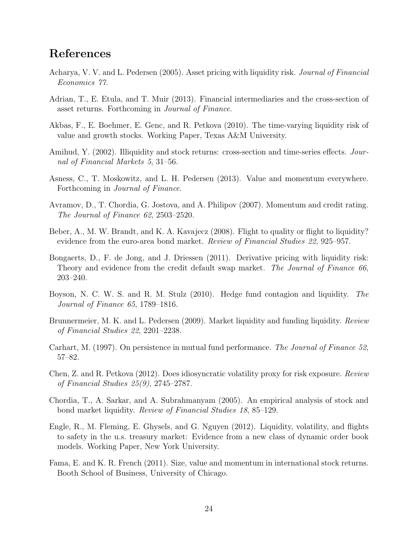# **References**

- Acharya, V. V. and L. Pedersen (2005). Asset pricing with liquidity risk. *Journal of Financial Economics 77*.
- Adrian, T., E. Etula, and T. Muir (2013). Financial intermediaries and the cross-section of asset returns. Forthcoming in *Journal of Finance*.
- Akbas, F., E. Boehmer, E. Genc, and R. Petkova (2010). The time-varying liquidity risk of value and growth stocks. Working Paper, Texas A&M University.
- Amihud, Y. (2002). Illiquidity and stock returns: cross-section and time-series effects. *Journal of Financial Markets 5*, 31–56.
- Asness, C., T. Moskowitz, and L. H. Pedersen (2013). Value and momentum everywhere. Forthcoming in *Journal of Finance*.
- Avramov, D., T. Chordia, G. Jostova, and A. Philipov (2007). Momentum and credit rating. *The Journal of Finance 62*, 2503–2520.
- Beber, A., M. W. Brandt, and K. A. Kavajecz (2008). Flight to quality or flight to liquidity? evidence from the euro-area bond market. *Review of Financial Studies 22*, 925–957.
- Bongaerts, D., F. de Jong, and J. Driessen (2011). Derivative pricing with liquidity risk: Theory and evidence from the credit default swap market. *The Journal of Finance 66*, 203–240.
- Boyson, N. C. W. S. and R. M. Stulz (2010). Hedge fund contagion and liquidity. *The Journal of Finance 65*, 1789–1816.
- Brunnermeier, M. K. and L. Pedersen (2009). Market liquidity and funding liquidity. *Review of Financial Studies 22*, 2201–2238.
- Carhart, M. (1997). On persistence in mutual fund performance. *The Journal of Finance 52*, 57–82.
- Chen, Z. and R. Petkova (2012). Does idiosyncratic volatility proxy for risk exposure. *Review of Financial Studies 25(9)*, 2745–2787.
- Chordia, T., A. Sarkar, and A. Subrahmanyam (2005). An empirical analysis of stock and bond market liquidity. *Review of Financial Studies 18*, 85–129.
- Engle, R., M. Fleming, E. Ghysels, and G. Nguyen (2012). Liquidity, volatility, and flights to safety in the u.s. treasury market: Evidence from a new class of dynamic order book models. Working Paper, New York University.
- Fama, E. and K. R. French (2011). Size, value and momentum in international stock returns. Booth School of Business, University of Chicago.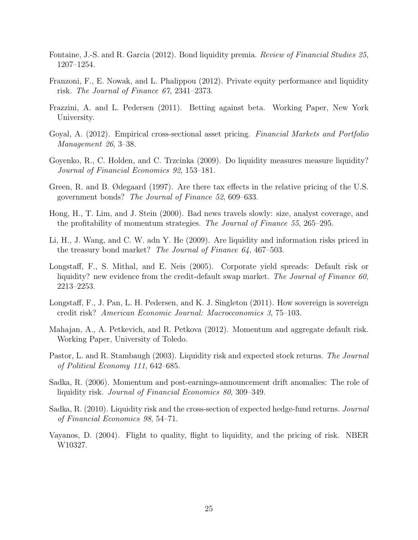- Fontaine, J.-S. and R. Garcia (2012). Bond liquidity premia. *Review of Financial Studies 25*, 1207–1254.
- Franzoni, F., E. Nowak, and L. Phalippou (2012). Private equity performance and liquidity risk. *The Journal of Finance 67*, 2341–2373.
- Frazzini, A. and L. Pedersen (2011). Betting against beta. Working Paper, New York University.
- Goyal, A. (2012). Empirical cross-sectional asset pricing. *Financial Markets and Portfolio Management 26*, 3–38.
- Goyenko, R., C. Holden, and C. Trzcinka (2009). Do liquidity measures measure liquidity? *Journal of Financial Economics 92*, 153–181.
- Green, R. and B. Ødegaard (1997). Are there tax effects in the relative pricing of the U.S. government bonds? *The Journal of Finance 52*, 609–633.
- Hong, H., T. Lim, and J. Stein (2000). Bad news travels slowly: size, analyst coverage, and the profitability of momentum strategies. *The Journal of Finance 55*, 265–295.
- Li, H., J. Wang, and C. W. adn Y. He (2009). Are liquidity and information risks priced in the treasury bond market? *The Journal of Finance 64*, 467–503.
- Longstaff, F., S. Mithal, and E. Neis (2005). Corporate yield spreads: Default risk or liquidity? new evidence from the credit-default swap market. *The Journal of Finance 60*, 2213–2253.
- Longstaff, F., J. Pan, L. H. Pedersen, and K. J. Singleton (2011). How sovereign is sovereign credit risk? *American Economic Journal: Macroeconomics 3*, 75–103.
- Mahajan, A., A. Petkevich, and R. Petkova (2012). Momentum and aggregate default risk. Working Paper, University of Toledo.
- Pastor, L. and R. Stambaugh (2003). Liquidity risk and expected stock returns. *The Journal of Political Economy 111*, 642–685.
- Sadka, R. (2006). Momentum and post-earnings-announcement drift anomalies: The role of liquidity risk. *Journal of Financial Economics 80*, 309–349.
- Sadka, R. (2010). Liquidity risk and the cross-section of expected hedge-fund returns. *Journal of Financial Economics 98*, 54–71.
- Vayanos, D. (2004). Flight to quality, flight to liquidity, and the pricing of risk. NBER W10327.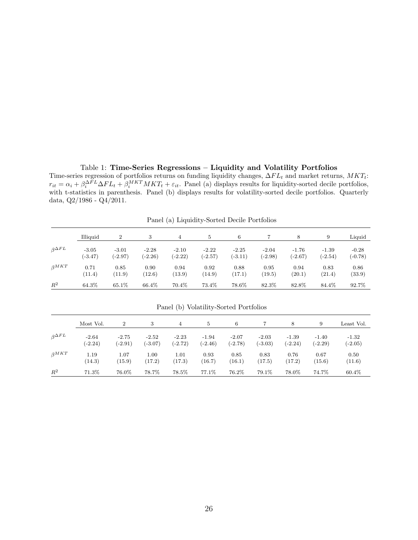#### Table 1: **Time-Series Regressions – Liquidity and Volatility Portfolios**

Time-series regression of portfolios returns on funding liquidity changes, ∆*F L<sup>t</sup>* and market returns, *MKTt*:  $r_{it} = \alpha_i + \beta_i^{\Delta FL} \Delta FL_t + \beta_i^{MKT} MKT_t + \varepsilon_{it}$ . Panel (a) displays results for liquidity-sorted decile portfolios, with t-statistics in parenthesis. Panel (b) displays results for volatility-sorted decile portfolios. Quarterly data, Q2/1986 - Q4/2011.

|                     | Illiquid  | $\overline{2}$ | 3         | $\overline{4}$ | 5         | 6         |           | 8         | 9         | Liquid    |
|---------------------|-----------|----------------|-----------|----------------|-----------|-----------|-----------|-----------|-----------|-----------|
| $\beta^{\Delta FL}$ | $-3.05$   | $-3.01$        | $-2.28$   | $-2.10$        | $-2.22$   | $-2.25$   | $-2.04$   | $-1.76$   | $-1.39$   | $-0.28$   |
|                     | $(-3.47)$ | $(-2.97)$      | $(-2.26)$ | $(-2.22)$      | $(-2.57)$ | $(-3.11)$ | $(-2.98)$ | $(-2.67)$ | $(-2.54)$ | $(-0.78)$ |
| $\beta^{MKT}$       | 0.71      | 0.85           | 0.90      | 0.94           | 0.92      | 0.88      | 0.95      | 0.94      | 0.83      | 0.86      |
|                     | (11.4)    | (11.9)         | (12.6)    | (13.9)         | (14.9)    | (17.1)    | (19.5)    | (20.1)    | (21.4)    | (33.9)    |
| $R^2$               | 64.3%     | 65.1%          | 66.4%     | 70.4%          | 73.4%     | 78.6%     | 82.3%     | 82.8%     | 84.4%     | 92.7%     |

Panel (a) Liquidity-Sorted Decile Portfolios

|                     | Most Vol. | 2         | 3         | 4         | 5         | 6         |           | 8         | 9         | Least Vol. |
|---------------------|-----------|-----------|-----------|-----------|-----------|-----------|-----------|-----------|-----------|------------|
| $\beta^{\Delta FL}$ | $-2.64$   | $-2.75$   | $-2.52$   | $-2.23$   | $-1.94$   | $-2.07$   | $-2.03$   | $-1.39$   | $-1.40$   | $-1.32$    |
|                     | $(-2.24)$ | $(-2.91)$ | $(-3.07)$ | $(-2.72)$ | $(-2.46)$ | $(-2.78)$ | $(-3.03)$ | $(-2.24)$ | $(-2.29)$ | $(-2.05)$  |
| $\beta^{MKT}$       | 1.19      | 1.07      | 1.00      | 1.01      | 0.93      | 0.85      | 0.83      | 0.76      | 0.67      | 0.50       |
|                     | (14.3)    | (15.9)    | (17.2)    | (17.3)    | (16.7)    | (16.1)    | (17.5)    | (17.2)    | (15.6)    | (11.6)     |
| $R^2$               | 71.3%     | 76.0%     | 78.7%     | 78.5%     | 77.1\%    | 76.2%     | 79.1\%    | 78.0%     | 74.7%     | 60.4\%     |

Panel (b) Volatility-Sorted Portfolios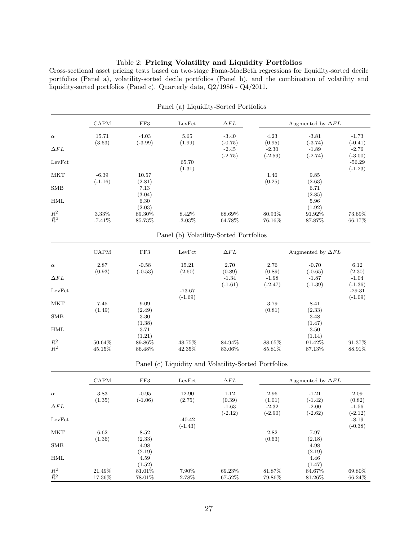#### Table 2: **Pricing Volatility and Liquidity Portfolios**

Cross-sectional asset pricing tests based on two-stage Fama-MacBeth regressions for liquidity-sorted decile portfolios (Panel a), volatility-sorted decile portfolios (Panel b), and the combination of volatility and liquidity-sorted portfolios (Panel c). Quarterly data, Q2/1986 - Q4/2011.

|                            | CAPM                 | FF3                  | LevFct              | $\Delta FL$          |                      | Augmented by $\Delta FL$ |                       |
|----------------------------|----------------------|----------------------|---------------------|----------------------|----------------------|--------------------------|-----------------------|
| $\alpha$                   | 15.71<br>(3.63)      | $-4.03$<br>$(-3.99)$ | 5.65<br>(1.99)      | $-3.40$<br>$(-0.75)$ | 4.23<br>(0.95)       | $-3.81$<br>$(-3.74)$     | $-1.73$<br>$(-0.41)$  |
| $\Delta FL$                |                      |                      |                     | $-2.45$<br>$(-2.75)$ | $-2.30$<br>$(-2.59)$ | $-1.89$<br>$(-2.74)$     | $-2.76$<br>$(-3.00)$  |
| LevFct                     |                      |                      | 65.70<br>(1.31)     |                      |                      |                          | $-56.29$<br>$(-1.23)$ |
| <b>MKT</b>                 | $-6.39$<br>$(-1.16)$ | 10.57<br>(2.81)      |                     |                      | 1.46<br>(0.25)       | 9.85<br>(2.63)           |                       |
| <b>SMB</b>                 |                      | 7.13<br>(3.04)       |                     |                      |                      | 6.71<br>(2.85)           |                       |
| <b>HML</b>                 |                      | 6.30<br>(2.03)       |                     |                      |                      | 5.96<br>(1.92)           |                       |
| $\mathbb{R}^2\\ \bar{R}^2$ | 3.33%<br>$-7.41\%$   | 89.30\%<br>85.73%    | 8.42\%<br>$-3.03\%$ | 68.69%<br>64.78%     | 80.93%<br>76.16%     | 91.92\%<br>87.87%        | 73.69%<br>66.17%      |

Panel (a) Liquidity-Sorted Portfolios

#### Panel (b) Volatility-Sorted Portfolios

|              | <b>CAPM</b> | FF3       | LevFct    | $\Delta FL$ |           | Augmented by $\Delta FL$ |           |
|--------------|-------------|-----------|-----------|-------------|-----------|--------------------------|-----------|
| $\alpha$     | 2.87        | $-0.58$   | 15.21     | 2.70        | 2.76      | $-0.70$                  | 6.12      |
|              | (0.93)      | $(-0.53)$ | (2.60)    | (0.89)      | (0.89)    | $(-0.65)$                | (2.30)    |
| $\Delta FL$  |             |           |           | $-1.34$     | $-1.98$   | $-1.87$                  | $-1.04$   |
|              |             |           |           | $(-1.61)$   | $(-2.47)$ | $(-1.39)$                | $(-1.36)$ |
| LevFct       |             |           | $-73.67$  |             |           |                          | $-29.31$  |
|              |             |           | $(-1.69)$ |             |           |                          | $(-1.09)$ |
| <b>MKT</b>   | 7.45        | 9.09      |           |             | 3.79      | 8.41                     |           |
|              | (1.49)      | (2.49)    |           |             | (0.81)    | (2.33)                   |           |
| $_{\rm SMB}$ |             | 3.30      |           |             |           | 3.48                     |           |
|              |             | (1.38)    |           |             |           | (1.47)                   |           |
| <b>HML</b>   |             | 3.71      |           |             |           | 3.50                     |           |
|              |             | (1.21)    |           |             |           | (1.14)                   |           |
| $R^2$        | 50.64%      | 89.86%    | 48.75%    | 84.94%      | 88.65%    | 91.42\%                  | 91.37%    |
| $\bar{R}^2$  | 45.15%      | 86.48%    | 42.35%    | 83.06%      | 85.81%    | 87.13%                   | 88.91\%   |

Panel (c) Liquidity and Volatility-Sorted Portfolios

|                            | CAPM   | FF3       | LevFct    | $\Delta FL$ |           | Augmented by $\Delta FL$ |           |
|----------------------------|--------|-----------|-----------|-------------|-----------|--------------------------|-----------|
| $\alpha$                   | 3.83   | $-0.95$   | 12.90     | 1.12        | 2.96      | $-1.21$                  | 2.09      |
|                            | (1.35) | $(-1.06)$ | (2.75)    | (0.39)      | (1.01)    | $(-1.42)$                | (0.82)    |
| $\Delta FL$                |        |           |           | $-1.63$     | $-2.32$   | $-2.00$                  | $-1.56$   |
|                            |        |           |           | $(-2.12)$   | $(-2.90)$ | $(-2.62)$                | $(-2.12)$ |
| LevFct                     |        |           | $-40.42$  |             |           |                          | $-8.19$   |
|                            |        |           | $(-1.43)$ |             |           |                          | $(-0.38)$ |
| <b>MKT</b>                 | 6.62   | 8.52      |           |             | 2.82      | 7.97                     |           |
|                            | (1.36) | (2.33)    |           |             | (0.63)    | (2.18)                   |           |
| <b>SMB</b>                 |        | 4.98      |           |             |           | 4.98                     |           |
|                            |        | (2.19)    |           |             |           | (2.19)                   |           |
| HML                        |        | 4.59      |           |             |           | 4.46                     |           |
|                            |        | (1.52)    |           |             |           | (1.47)                   |           |
| $\mathbb{R}^2\\ \bar{R}^2$ | 21.49% | 81.01%    | 7.90%     | 69.23%      | 81.87%    | 84.67%                   | 69.80%    |
|                            | 17.36% | 78.01%    | 2.78%     | 67.52%      | 79.86%    | 81.26\%                  | 66.24\%   |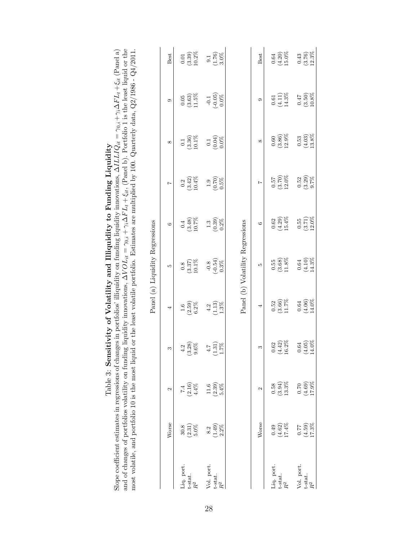|                                         |                             |                                                         | most volatile, and portfolio 10 is the most liquid or the least volatile portfolio. Estimates are multiplied by 100. Quarterly data, $Q2/1986$ - $Q4/2011$ . |                                                         | Panel (a) Liquidity Regressions                         |                                                        |                                                        |                                                         |                                                         |                                                          |
|-----------------------------------------|-----------------------------|---------------------------------------------------------|--------------------------------------------------------------------------------------------------------------------------------------------------------------|---------------------------------------------------------|---------------------------------------------------------|--------------------------------------------------------|--------------------------------------------------------|---------------------------------------------------------|---------------------------------------------------------|----------------------------------------------------------|
|                                         | Worse                       | $\mathcal{C}$                                           | S                                                                                                                                                            | 4                                                       | LO.                                                     | G                                                      | $\overline{z}$                                         | $\infty$                                                | $\circ$                                                 | Best                                                     |
| Liq. port.<br>t-stat.<br>$\mathbb{R}^2$ | $(2.31)$<br>$5.0\%$<br>30.8 | $7.4$<br>(2.16)<br>4.4%                                 | $\begin{array}{c} 4.2 \\ (3.28) \\ 9.6\% \end{array}$                                                                                                        | $(2.59)$<br>$6.2%$<br>$1.6\,$                           | $\begin{array}{c} 0.8 \\ (3.37) \\ 10.1\% \end{array}$  | $\begin{array}{c} 0.4 \\ (3.48) \\ 10.7\% \end{array}$ | $\begin{array}{c} 0.2 \\ (3.42) \\ 10.4\% \end{array}$ | $\begin{array}{c} 0.1 \\ (3.36) \\ 10.1\% \end{array}$  | $\begin{array}{c} 0.05 \\ (3.63) \\ 11.5\% \end{array}$ | $(3.39)$<br>10.2%<br>$0.01\,$                            |
| Vol. port.<br>t-stat.<br>$\mathbb{R}^2$ | $(1.49)$<br>$2.2\%$<br>8.2  | $\left(2.39\right)$ $5.4\%$<br>$11.6$                   | $\begin{array}{c} 4.7 \\ (1.31) \\ 1.7\% \end{array}$                                                                                                        | $\begin{array}{c} 4.2 \\ (1.13) \\ 1.3\% \end{array}$   | $\begin{array}{c} -0.8 \\ (-0.54) \\ 0.3\% \end{array}$ | $\begin{array}{c} 1.3 \\ (0.39) \\ 0.2 \% \end{array}$ | $\begin{array}{c} 1.9 \\ (0.70) \\ 0.5\% \end{array}$  | $\begin{array}{c} 0.1 \\ (0.04) \\ 0.0 \% \end{array}$  | $\begin{array}{c} -0.1 \\ (-0.05) \\ 0.0\% \end{array}$ | $\begin{array}{c} 9.1 \\ (1.76) \\ 3.0 \% \end{array}$   |
|                                         |                             |                                                         |                                                                                                                                                              |                                                         | Panel (b) Volatility Regressions                        |                                                        |                                                        |                                                         |                                                         |                                                          |
|                                         | Worse                       | Z                                                       | S                                                                                                                                                            | 4                                                       | S                                                       | G                                                      | $\overline{ }$                                         | $^{\circ}$                                              | c                                                       | Best                                                     |
| Liq. port.<br>t-stat.<br>$\mathbb{R}^2$ | $(4.62)$<br>17.4%<br>0.49   | $\begin{array}{c} (3.94) \\ 13.3\% \end{array}$<br>0.58 | $(4.42)$<br>16.2%<br>$0.62\,$                                                                                                                                | $\begin{array}{c} 0.52 \\ (3.66) \\ 11.7\% \end{array}$ | $\begin{array}{c} 0.55 \\ (3.68) \\ 11.8\% \end{array}$ | $(4.29)$<br>15.4%<br>$\!0.62\!$                        | $(3.70)$<br>12.0%<br>0.57                              | $(3.86)$<br>12.9%<br>$0.60\,$                           | $\begin{array}{c} 0.61 \\ (4.11) \\ 14.3\% \end{array}$ | $(4.20)$<br>15.0%<br>$\!0.64\!$                          |
| Vol. port.<br>t-stat.<br>$R^2$          | $(4.59)$<br>17.3%<br>0.77   | $\begin{array}{c} 0.70 \\ (4.69) \\ 17.9\% \end{array}$ | $\begin{array}{c} 0.64 \\ (4.05) \\ 14.0 \% \end{array}$                                                                                                     | $(4.06)$<br>14.0%                                       | $\begin{array}{c} 0.64 \\ (4.10) \\ 14.3\% \end{array}$ | $(3.71)$<br>12.0%<br>0.55                              | $\begin{array}{c} 0.52 \\ (3.29) \\ 9.7\% \end{array}$ | $\begin{array}{c} 0.53 \\ (4.03) \\ 13.8\% \end{array}$ | $\begin{array}{c} 0.47 \\ (3.50) \\ 10.8\% \end{array}$ | $\begin{array}{c} 0.43 \\ (3.76) \\ 12.3 \% \end{array}$ |

Slope coefficient estimates in regressions of **Sensitivity of Volatility and Illiquidity to Funding Liquidity**<br>and of changes of portfolios volatility on funding liquidity imovations,  $\Delta VOL_{it} + \xi_{it}$ , (Panel a) and of cha Slope coefficient estimates in regressions of changes in portfolios' illiquidity on funding liquidity imovations,  $\Delta ILLIQ_{it} = \gamma_0 i + \gamma_i \Delta FL_t + \xi_{it}$  (Panel a) and of changes of portfolios volatility on funding liquidity imovations,  $\Delta VOL_{it} = \gamma_0, i + \gamma_i \Delta FL_t + \xi_{it}$ , (Panel b). Portfolio 1 is the least liquid or the Table 3: **Sensitivity of Volatility and Illiquidity to Funding Liquidity**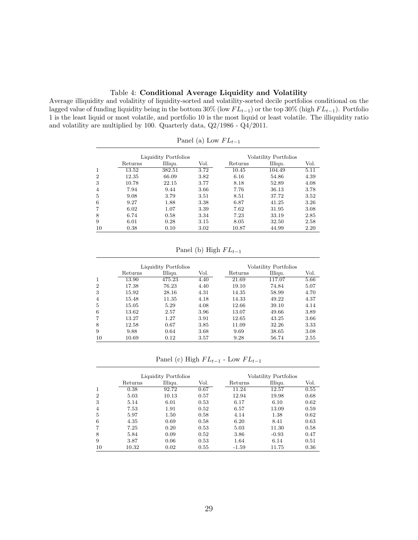#### Table 4: **Conditional Average Liquidity and Volatility**

Average illiquidity and volalitity of liquidity-sorted and volatility-sorted decile portfolios conditional on the lagged value of funding liquidity being in the bottom 30% (low *F L<sup>t</sup>−*<sup>1</sup>) or the top 30% (high *F L<sup>t</sup>−*<sup>1</sup>). Portfolio 1 is the least liquid or most volatile, and portfolio 10 is the most liquid or least volatile. The illiquidity ratio and volatility are multiplied by 100. Quarterly data, Q2/1986 - Q4/2011.

|                |         | Liquidity Portfolios |      |           | Volatility Portfolios |      |
|----------------|---------|----------------------|------|-----------|-----------------------|------|
|                | Returns | Illiqu.              | Vol. | Returns   | Illiqu.               | Vol. |
| $\mathbf{1}$   | 13.52   | 382.51               | 3.72 | 10.45     | 104.49                | 5.11 |
| $\overline{2}$ | 12.35   | 66.09                | 3.82 | 6.16      | 54.86                 | 4.39 |
| 3              | 10.78   | 22.15                | 3.77 | 8.18      | 52.89                 | 4.08 |
| $\overline{4}$ | 7.94    | 9.44                 | 3.66 | 7.76      | 36.13                 | 3.78 |
| 5              | 9.08    | 3.79                 | 3.51 | 8.51      | 37.72                 | 3.52 |
| 6              | 9.27    | 1.88                 | 3.38 | 6.87      | 41.25                 | 3.26 |
| 7              | 6.02    | 1.07                 | 3.39 | 7.62      | 31.95                 | 3.08 |
| 8              | 6.74    | 0.58                 | 3.34 | 7.23      | 33.19                 | 2.85 |
| 9              | 6.01    | 0.28                 | 3.15 | 8.05      | 32.50                 | 2.58 |
| 10             | 0.38    | 0.10                 | 3.02 | $10.87\,$ | 44.99                 | 2.20 |

Panel (a) Low *F L<sup>t</sup>−*<sup>1</sup>

Panel (b) High *F L<sup>t</sup>−*<sup>1</sup>

|                |         | Liquidity Portfolios |      |         | Volatility Portfolios |      |
|----------------|---------|----------------------|------|---------|-----------------------|------|
|                | Returns | Illiqu.              | Vol. | Returns | Illiqu.               | Vol. |
| 1              | 13.90   | 475.23               | 4.40 | 21.69   | 117.07                | 5.66 |
| $\overline{2}$ | 17.38   | 76.23                | 4.40 | 19.10   | 74.84                 | 5.07 |
| 3              | 15.92   | 28.16                | 4.31 | 14.35   | 58.99                 | 4.70 |
| $\overline{4}$ | 15.48   | 11.35                | 4.18 | 14.33   | 49.22                 | 4.37 |
| 5              | 15.05   | 5.29                 | 4.08 | 12.66   | 39.10                 | 4.14 |
| 6              | 13.62   | 2.57                 | 3.96 | 13.07   | 49.66                 | 3.89 |
| 7              | 13.27   | 1.27                 | 3.91 | 12.65   | 43.25                 | 3.66 |
| 8              | 12.58   | 0.67                 | 3.85 | 11.09   | 32.26                 | 3.33 |
| 9              | 9.88    | 0.64                 | 3.68 | 9.69    | 38.65                 | 3.08 |
| 10             | 10.69   | 0.12                 | 3.57 | 9.28    | 56.74                 | 2.55 |

Panel (c) High *F L<sup>t</sup>−*<sup>1</sup> - Low *F L<sup>t</sup>−*<sup>1</sup>

|    |         | Liquidity Portfolios |      |         | Volatility Portfolios |      |
|----|---------|----------------------|------|---------|-----------------------|------|
|    | Returns | Illiqu.              | Vol. | Returns | Illiqu.               | Vol. |
| 1  | 0.38    | 92.72                | 0.67 | 11.24   | 12.57                 | 0.55 |
| 2  | 5.03    | 10.13                | 0.57 | 12.94   | 19.98                 | 0.68 |
| 3  | 5.14    | 6.01                 | 0.53 | 6.17    | 6.10                  | 0.62 |
| 4  | 7.53    | 1.91                 | 0.52 | 6.57    | 13.09                 | 0.59 |
| 5  | 5.97    | 1.50                 | 0.58 | 4.14    | 1.38                  | 0.62 |
| 6  | 4.35    | 0.69                 | 0.58 | 6.20    | 8.41                  | 0.63 |
| 7  | 7.25    | 0.20                 | 0.53 | 5.03    | 11.30                 | 0.58 |
| 8  | 5.84    | 0.09                 | 0.52 | 3.86    | $-0.93$               | 0.47 |
| 9  | 3.87    | 0.06                 | 0.53 | 1.64    | 6.14                  | 0.51 |
| 10 | 10.32   | 0.02                 | 0.55 | $-1.59$ | 11.75                 | 0.36 |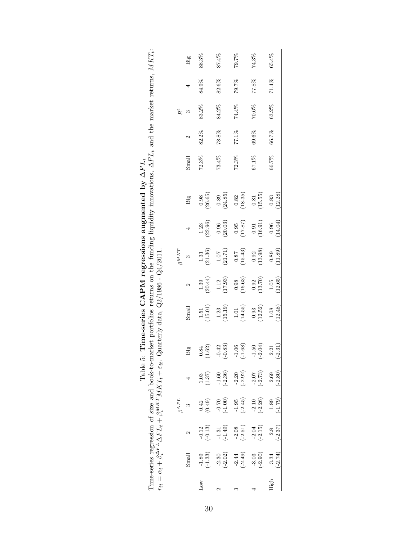|              |                        |                      | $r_{it} = \alpha_i + \beta^{ \Delta F \, L}_{i} \Delta F L_{t} + \beta^{ M \, KT}_{i} M K T_{t} + \varepsilon_{it}$ . |                                               |                      | Quarterly data, $Q2/1986 - Q4/2011$ .          |                                                |                                                |                                                |                                                |          |          |          |       |       |
|--------------|------------------------|----------------------|-----------------------------------------------------------------------------------------------------------------------|-----------------------------------------------|----------------------|------------------------------------------------|------------------------------------------------|------------------------------------------------|------------------------------------------------|------------------------------------------------|----------|----------|----------|-------|-------|
|              |                        |                      | $\beta^{\Delta FL}$                                                                                                   |                                               |                      |                                                |                                                | $\beta^{MKT}$                                  |                                                |                                                |          |          | $R^2$    |       |       |
|              | $\operatorname{Small}$ | 2                    | $\infty$                                                                                                              |                                               | Big                  | Small                                          | 2                                              | $\infty$                                       |                                                | Big                                            | Small    | 2        | m        |       | Big   |
| $_{\rm Low}$ | $-1.89$<br>$(-1.33)$   | $-0.12$<br>$(-0.13)$ | (0.42)                                                                                                                | $\begin{array}{c} 1.03 \\ (1.37) \end{array}$ | (1.62)<br>0.84       | $\begin{array}{c} 1.51 \\ (15.01) \end{array}$ | (30.44)                                        | $\begin{array}{c} 1.31 \\ (21.36) \end{array}$ | $1.23$<br>(22.96)                              | (26.65)                                        | 72.3%    | 82.2%    | 83.2%    | 84.9% | 88.3% |
| 2            | $(-2.02)$<br>$-2.30$   | $-1.31$<br>$(-1.49)$ | $(00^{\circ}$ T-)                                                                                                     | $-1.60$<br>$(-2.36)$                          | $(-0.83)$<br>$-0.42$ | (15.19)                                        | $\begin{array}{c} 1.12\\ (17.93) \end{array}$  | $\begin{array}{c} 1.07 \\ (21.71) \end{array}$ | $\begin{array}{c} 0.96 \\ (20.03) \end{array}$ | (24.85)                                        | 73.4%    | $78.8\%$ | 84.2%    | 82.6% | 87.4% |
| S            | $-2.44$<br>$(-2.49)$   | $-2.08$<br>$(-2.51)$ | $-1.95$<br>$(-2.45)$                                                                                                  | $-2.20$<br>$(-2.92)$                          | $(-1.68)$<br>$-1.06$ | (1.01)                                         | $\begin{array}{c} 0.98 \\ (16.63) \end{array}$ | $\frac{0.87}{(15.43)}$                         | (17.87)                                        | $\begin{array}{c} 0.82 \\ (18.35) \end{array}$ | 72.3%    | $77.1\%$ | $74.4\%$ | 79.7% | 79.7% |
|              | $(-2.90)$<br>$-3.03$   | $-2.04$<br>$(-2.15)$ | $-2.10$<br>$(-2.26)$                                                                                                  | $-2.07$<br>$(-2.73)$                          | $-1.50$<br>$(-2.04)$ | (12.52)                                        | $\begin{array}{c} 0.92 \\ (13.70) \end{array}$ | $\begin{array}{c} 0.92 \\ (13.98) \end{array}$ | $\begin{array}{c} 0.91 \\ (16.91) \end{array}$ | (15.55)                                        | $67.1\%$ | $69.6\%$ | $70.6\%$ | 77.8% | 74.3% |
| High         | $-3.34$<br>$(-2.74)$   | $-2.8$<br>$(-2.37)$  | (62.7)                                                                                                                | $-2.69$<br>$(-2.80)$                          | $-2.21$<br>$(-2.31)$ | $\frac{1.08}{(12.48)}$                         | $\frac{1.05}{(12.65)}$                         | $\begin{array}{c} 0.89 \\ (11.89) \end{array}$ | (14.04)                                        | $\frac{0.83}{(12.28)}$                         | 66.7%    | 66.7%    | $63.2\%$ | 71.4% | 65.4% |

| ב<br>ב<br>$\frac{1}{2}$<br>1<br>-<br>$\frac{1}{2}$<br>$\overline{ }$<br>gressions augmenter<br>$\sim$ CAPM region<br>eries UA!<br>Time-s<br>ĺ<br>$\tau_{\rm abh}$ | ۱<br>l<br>$-41$ cases<br>$\frac{5}{2}$<br>ול<br>י<br>i<br>[<br>í<br>$-1 - 1$<br>eturns on the fund<br>Ì<br>arlet no-<br>)<br>Sidna<br>Ų<br>ime-series regression of size and book | $\overline{1}$<br>.<br>.<br>.<br>.<br>ヽ ゝ こ こ こ こ こ こ こ こ こ<br>۱<br>֧֧֦֧֧֧֧֧֧֧֧֧֧֧֧֧֛֪֛֚֚֚֚֚֝֝֝֬֝֬֓֓֓֝֬֓֓֝֬֓֓֝֬֝֬֝֬֝֬֝֬֝֬֝֬֝֬֝֬֬<br>$\sim$ $\sim$ $\sim$<br>$\cdots$ and $\bar{t}$ then<br>$MKT$ $MKT$<br>$2\Delta F L_t + \mu_s$ |
|-------------------------------------------------------------------------------------------------------------------------------------------------------------------|-----------------------------------------------------------------------------------------------------------------------------------------------------------------------------------|-----------------------------------------------------------------------------------------------------------------------------------------------------------------------------------------------------------------------------------|
|                                                                                                                                                                   | I                                                                                                                                                                                 | $r_{it} = \alpha_i + \beta_i^2$                                                                                                                                                                                                   |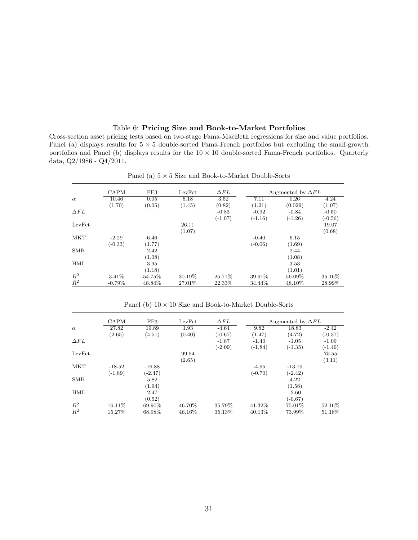#### Table 6: **Pricing Size and Book-to-Market Portfolios**

Cross-section asset pricing tests based on two-stage Fama-MacBeth regressions for size and value portfolios. Panel (a) displays results for 5 *×* 5 double-sorted Fama-French portfolios but excluding the small-growth portfolios and Panel (b) displays results for the 10 *×* 10 double-sorted Fama-French portfolios. Quarterly data, Q2/1986 - Q4/2011.

|             | <b>CAPM</b> | FF3    | LevFct  | $\Delta FL$ |           | Augmented by $\Delta FL$ |           |
|-------------|-------------|--------|---------|-------------|-----------|--------------------------|-----------|
| $\alpha$    | 10.46       | 0.05   | 6.18    | 3.52        | 7.11      | 0.26                     | 4.24      |
|             | (1.70)      | (0.05) | (1.45)  | (0.82)      | (1.21)    | (0.029)                  | (1.07)    |
| $\Delta FL$ |             |        |         | $-0.83$     | $-0.92$   | $-0.84$                  | $-0.50$   |
|             |             |        |         | $(-1.07)$   | $(-1.16)$ | $(-1.26)$                | $(-0.56)$ |
| LevFct      |             |        | 26.11   |             |           |                          | 19.07     |
|             |             |        | (1.07)  |             |           |                          | (0.68)    |
| <b>MKT</b>  | $-2.29$     | 6.46   |         |             | $-0.40$   | 6.15                     |           |
|             | $(-0.33)$   | (1.77) |         |             | $(-0.06)$ | (1.69)                   |           |
| <b>SMB</b>  |             | 2.42   |         |             |           | 2.44                     |           |
|             |             | (1.08) |         |             |           | (1.08)                   |           |
| HML         |             | 3.95   |         |             |           | 3.53                     |           |
|             |             | (1.18) |         |             |           | (1.01)                   |           |
| $R^2$       | 3.41\%      | 54.75% | 30.19%  | 25.71\%     | 39.91\%   | 56.09%                   | 35.16\%   |
| $\bar{R}^2$ | $-0.79\%$   | 48.84% | 27.01\% | 22.33%      | 34.44%    | 48.10\%                  | 28.99%    |

Panel (a) 5 *×* 5 Size and Book-to-Market Double-Sorts

|             | <b>CAPM</b> | FF3       | LevFct | $\Delta FL$ |           | Augmented by $\Delta FL$ |           |
|-------------|-------------|-----------|--------|-------------|-----------|--------------------------|-----------|
| $\alpha$    | 27.82       | 19.89     | 1.93   | $-4.64$     | 9.82      | 18.83                    | $-2.42$   |
|             | (2.65)      | (4.51)    | (0.40) | $(-0.67)$   | (1.47)    | (4.72)                   | $(-0.37)$ |
| $\Delta FL$ |             |           |        | $-1.87$     | $-1.40$   | $-1.05$                  | $-1.09$   |
|             |             |           |        | $(-2.09)$   | $(-1.84)$ | $(-1.35)$                | $(-1.49)$ |
| LevFct      |             |           | 99.54  |             |           |                          | 75.55     |
|             |             |           | (2.65) |             |           |                          | (3.11)    |
| <b>MKT</b>  | $-18.52$    | $-16.88$  |        |             | $-4.95$   | $-13.75$                 |           |
|             | $(-1.89)$   | $(-2.47)$ |        |             | $(-0.70)$ | $(-2.42)$                |           |
| <b>SMB</b>  |             | 5.82      |        |             |           | 4.22                     |           |
|             |             | (1.94)    |        |             |           | (1.58)                   |           |
| <b>HML</b>  |             | 2.47      |        |             |           | $-2.60$                  |           |
|             |             | (0.52)    |        |             |           | $(-0.67)$                |           |
| $R^2$       | 16.11\%     | 69.90%    | 46.70% | 35.79%      | 41.32%    | 75.01%                   | 52.16\%   |
| $\bar{R}^2$ | 15.27%      | 68.98%    | 46.16% | 35.13%      | 40.13%    | 73.99%                   | 51.18%    |

Panel (b) 10 *×* 10 Size and Book-to-Market Double-Sorts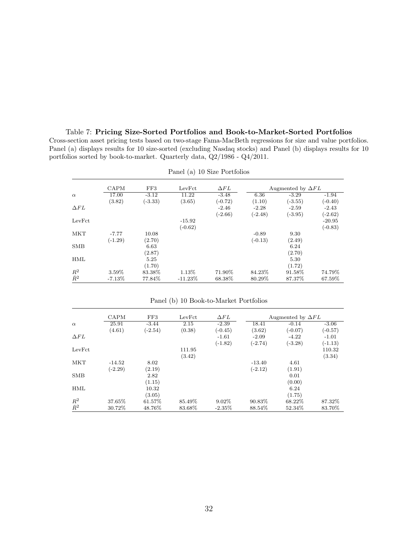Cross-section asset pricing tests based on two-stage Fama-MacBeth regressions for size and value portfolios. Panel (a) displays results for 10 size-sorted (excluding Nasdaq stocks) and Panel (b) displays results for 10 portfolios sorted by book-to-market. Quarterly data, Q2/1986 - Q4/2011. Panel (a) 10 Size Portfolios

Table 7: **Pricing Size-Sorted Portfolios and Book-to-Market-Sorted Portfolios**

|             | CAPM      | FF3       | LevFct     | $\Delta FL$ |           | Augmented by $\Delta FL$ |           |
|-------------|-----------|-----------|------------|-------------|-----------|--------------------------|-----------|
| $\alpha$    | 17.00     | $-3.12$   | 11.22      | $-3.48$     | 6.36      | $-3.29$                  | $-1.94$   |
|             | (3.82)    | $(-3.33)$ | (3.65)     | $(-0.72)$   | (1.10)    | $(-3.55)$                | $(-0.40)$ |
| $\Delta FL$ |           |           |            | $-2.46$     | $-2.28$   | $-2.59$                  | $-2.43$   |
|             |           |           |            | $(-2.66)$   | $(-2.48)$ | $(-3.95)$                | $(-2.62)$ |
| LevFct      |           |           | $-15.92$   |             |           |                          | $-20.95$  |
|             |           |           | $(-0.62)$  |             |           |                          | $(-0.83)$ |
| <b>MKT</b>  | $-7.77$   | 10.08     |            |             | $-0.89$   | 9.30                     |           |
|             | $(-1.29)$ | (2.70)    |            |             | $(-0.13)$ | (2.49)                   |           |
| <b>SMB</b>  |           | 6.63      |            |             |           | 6.24                     |           |
|             |           | (2.87)    |            |             |           | (2.70)                   |           |
| <b>HML</b>  |           | 5.25      |            |             |           | 5.30                     |           |
|             |           | (1.70)    |            |             |           | (1.72)                   |           |
| $R^2$       | 3.59%     | 83.38%    | 1.13%      | 71.90%      | 84.23%    | 91.58%                   | 74.79%    |
| $\bar{R}^2$ | $-7.13\%$ | 77.84%    | $-11.23\%$ | 68.38%      | 80.29%    | 87.37%                   | 67.59%    |

Panel (b) 10 Book-to-Market Portfolios

|             | CAPM      | FF3       | LevFct | $\Delta FL$ |           | Augmented by $\Delta FL$ |           |
|-------------|-----------|-----------|--------|-------------|-----------|--------------------------|-----------|
|             |           |           |        |             |           |                          |           |
| $\alpha$    | 25.91     | $-3.44$   | 2.15   | $-2.39$     | 18.41     | $-0.14$                  | $-3.06$   |
|             | (4.61)    | $(-2.54)$ | (0.38) | $(-0.45)$   | (3.62)    | $(-0.07)$                | $(-0.57)$ |
| $\Delta FL$ |           |           |        | $-1.61$     | $-2.09$   | $-4.22$                  | $-1.01$   |
|             |           |           |        | $(-1.82)$   | $(-2.74)$ | $(-3.28)$                | $(-1.13)$ |
| LevFct      |           |           | 111.95 |             |           |                          | 110.32    |
|             |           |           | (3.42) |             |           |                          | (3.34)    |
| <b>MKT</b>  | $-14.52$  | 8.02      |        |             | $-13.40$  | 4.61                     |           |
|             | $(-2.29)$ | (2.19)    |        |             | $(-2.12)$ | (1.91)                   |           |
| <b>SMB</b>  |           | 2.82      |        |             |           | 0.01                     |           |
|             |           | (1.15)    |        |             |           | (0.00)                   |           |
| HML         |           | 10.32     |        |             |           | 6.24                     |           |
|             |           | (3.05)    |        |             |           | (1.75)                   |           |
| $R^2$       | 37.65%    | 61.57%    | 85.49% | $9.02\%$    | 90.83%    | 68.22%                   | 87.32%    |
| $\bar{R}^2$ | 30.72%    | 48.76%    | 83.68% | $-2.35\%$   | 88.54%    | 52.34\%                  | 83.70%    |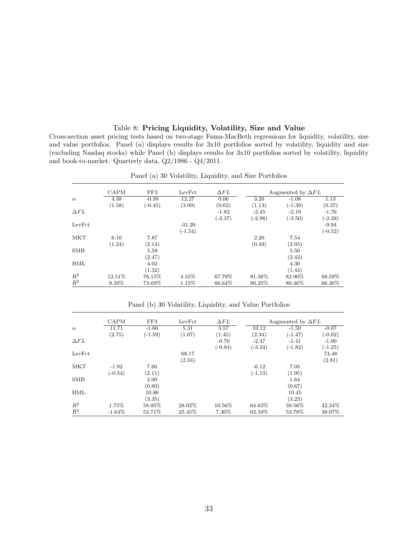#### Table 8: **Pricing Liquidity, Volatility, Size and Value**

Cross-section asset pricing tests based on two-stage Fama-MacBeth regressions for liquidity, volatility, size and value portfolios. Panel (a) displays results for 3x10 portfolios sorted by volatility, liquidity and size (excluding Nasdaq stocks) while Panel (b) displays results for 3x10 portfolios sorted by volatility, liquidity and book-to-market. Quarterly data, Q2/1986 - Q4/2011.

|             | <b>CAPM</b> | FF3       | LevFct    | $\Delta FL$ |           | Augmented by $\Delta FL$ |           |
|-------------|-------------|-----------|-----------|-------------|-----------|--------------------------|-----------|
| $\alpha$    | 4.38        | $-0.39$   | 12.27     | 0.06        | 3.26      | $-1.08$                  | 1.13      |
|             | (1.58)      | $(-0.45)$ | (3.09)    | (0.02)      | (1.13)    | $(-1.39)$                | (0.37)    |
| $\Delta FL$ |             |           |           | $-1.82$     | $-2.45$   | $-2.19$                  | $-1.76$   |
|             |             |           |           | $(-2.37)$   | $(-2.98)$ | $(-3.50)$                | $(-2.28)$ |
| LevFct      |             |           | $-31.20$  |             |           |                          | $-9.94$   |
|             |             |           | $(-1.54)$ |             |           |                          | $(-0.52)$ |
| <b>MKT</b>  | 6.10        | 7.87      |           |             | 2.20      | 7.54                     |           |
|             | (1.24)      | (2.14)    |           |             | (0.49)    | (2.05)                   |           |
| <b>SMB</b>  |             | 5.59      |           |             |           | 5.50                     |           |
|             |             | (2.47)    |           |             |           | (2.43)                   |           |
| HML         |             | 4.02      |           |             |           | 4.36                     |           |
|             |             | (1.32)    |           |             |           | (1.44)                   |           |
| $R^2$       | 12.51\%     | 76.15%    | 4.55%     | 67.79%      | 81.56%    | 82.90%                   | 68.59%    |
| $\bar{R}^2$ | 9.50%       | 73.69%    | 1.15%     | 66.64%      | 80.25%    | 80.46%                   | 66.26%    |

Panel (a) 30 Volatility, Liquidity, and Size Portfolios

|             | CAPM      | FF3       | LevFct  | $\Delta FL$ |           | Augmented by $\Delta FL$ |           |
|-------------|-----------|-----------|---------|-------------|-----------|--------------------------|-----------|
| $\alpha$    | 11.71     | $-1.66$   | 5.31    | 5.57        | 10.12     | $-1.50$                  | $-0.07$   |
|             | (2.75)    | $(-1.59)$ | (1.07)  | (1.45)      | (2.34)    | $(-1.47)$                | $(-0.02)$ |
| $\Delta FL$ |           |           |         | $-0.70$     | $-2.47$   | $-1.41$                  | $-1.00$   |
|             |           |           |         | $(-0.84)$   | $(-3.24)$ | $(-1.82)$                | $(-1.25)$ |
| LevFct      |           |           | 68.17   |             |           |                          | 74.48     |
|             |           |           | (2.34)  |             |           |                          | (2.81)    |
| MKT         | $-1.92$   | 7.60      |         |             | $-6.12$   | 7.05                     |           |
|             | $(-0.34)$ | (2.11)    |         |             | $(-1.13)$ | (1.95)                   |           |
| <b>SMB</b>  |           | 2.00      |         |             |           | 1.64                     |           |
|             |           | (0.80)    |         |             |           | (0.67)                   |           |
| <b>HML</b>  |           | 10.86     |         |             |           | 10.45                    |           |
|             |           | (3.35)    |         |             |           | (3.23)                   |           |
| $R^2$       | 1.75%     | 58.05%    | 28.02\% | 10.56%      | 64.63%    | 59.56%                   | 42.34\%   |
| $\bar{R}^2$ | $-1.64\%$ | 53.71\%   | 25.45%  | 7.36\%      | 62.10\%   | 53.78%                   | 38.07%    |

Panel (b) 30 Volatility, Liquidity, and Value Portfolios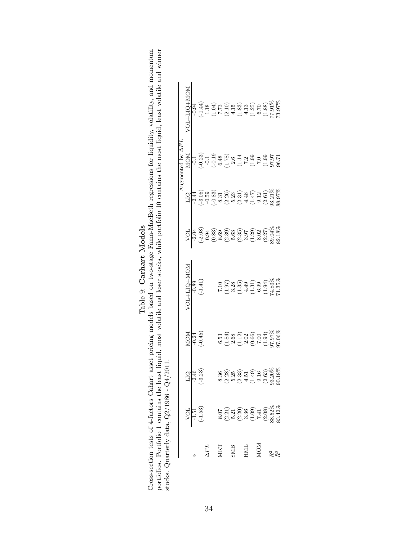| $-0.94$                                                                                                                                                   |                          | $-2.44$ | $-2.04$ | $-0.89$     |     | $-2.46$    | $-1.51$ |                                               |  |
|-----------------------------------------------------------------------------------------------------------------------------------------------------------|--------------------------|---------|---------|-------------|-----|------------|---------|-----------------------------------------------|--|
|                                                                                                                                                           |                          |         |         |             |     |            |         |                                               |  |
|                                                                                                                                                           |                          |         |         |             |     |            |         |                                               |  |
|                                                                                                                                                           |                          |         |         |             |     |            |         |                                               |  |
|                                                                                                                                                           |                          |         |         |             |     |            |         |                                               |  |
|                                                                                                                                                           |                          |         |         |             |     |            |         |                                               |  |
| NON+C11+TOA                                                                                                                                               | MOM                      |         | VOL     | NOT+T10+TON | MOM | <b>DIQ</b> | VOL     |                                               |  |
|                                                                                                                                                           |                          |         |         |             |     |            |         |                                               |  |
|                                                                                                                                                           |                          |         |         |             |     |            |         |                                               |  |
|                                                                                                                                                           |                          |         |         |             |     |            |         |                                               |  |
|                                                                                                                                                           | Augmented by $\Delta FL$ |         |         |             |     |            |         |                                               |  |
|                                                                                                                                                           |                          |         |         |             |     |            |         |                                               |  |
|                                                                                                                                                           |                          |         |         |             |     |            |         |                                               |  |
|                                                                                                                                                           |                          |         |         |             |     |            |         |                                               |  |
|                                                                                                                                                           |                          |         |         |             |     |            |         |                                               |  |
|                                                                                                                                                           |                          |         |         |             |     |            |         |                                               |  |
|                                                                                                                                                           |                          |         |         |             |     |            |         |                                               |  |
|                                                                                                                                                           |                          |         |         |             |     |            |         | stocks. Quarterly data, $Q2/1986 - Q4/2011$ . |  |
|                                                                                                                                                           |                          |         |         |             |     |            |         |                                               |  |
|                                                                                                                                                           |                          |         |         |             |     |            |         |                                               |  |
|                                                                                                                                                           |                          |         |         |             |     |            |         |                                               |  |
| oortfolios. Portfolio 1 contains the least liquid, most volatile and loser stocks, while portfolio 10 contains the most liquid, least volatile and winner |                          |         |         |             |     |            |         |                                               |  |
|                                                                                                                                                           |                          |         |         |             |     |            |         |                                               |  |
|                                                                                                                                                           |                          |         |         |             |     |            |         |                                               |  |
|                                                                                                                                                           |                          |         |         |             |     |            |         |                                               |  |
| ross-section tests of 4-factors Cahart asset pricing models based on two-stage Fama-MacBeth regressions for liquidity, volatility, and momentum           |                          |         |         |             |     |            |         |                                               |  |
|                                                                                                                                                           |                          |         |         |             |     |            |         |                                               |  |

|                  |                                                                                                                                         |                                                                                                                        |                                                                                                                                                                                                                                                                                      |                                                                                                                                                                                                                                                                                                                                                                                                                                        |                                                                                                                                                          |                                                                                                                                                                                                                                                                                                                                                   | Augmented by $\Delta F L$                                                                                                                                                                                                                                                                                                                         |             |
|------------------|-----------------------------------------------------------------------------------------------------------------------------------------|------------------------------------------------------------------------------------------------------------------------|--------------------------------------------------------------------------------------------------------------------------------------------------------------------------------------------------------------------------------------------------------------------------------------|----------------------------------------------------------------------------------------------------------------------------------------------------------------------------------------------------------------------------------------------------------------------------------------------------------------------------------------------------------------------------------------------------------------------------------------|----------------------------------------------------------------------------------------------------------------------------------------------------------|---------------------------------------------------------------------------------------------------------------------------------------------------------------------------------------------------------------------------------------------------------------------------------------------------------------------------------------------------|---------------------------------------------------------------------------------------------------------------------------------------------------------------------------------------------------------------------------------------------------------------------------------------------------------------------------------------------------|-------------|
|                  | VOL                                                                                                                                     |                                                                                                                        | MOM                                                                                                                                                                                                                                                                                  | NON+TUG+NON                                                                                                                                                                                                                                                                                                                                                                                                                            |                                                                                                                                                          | СIJ                                                                                                                                                                                                                                                                                                                                               | MOM                                                                                                                                                                                                                                                                                                                                               | NON+COT+TO/ |
|                  | $-1.51$                                                                                                                                 |                                                                                                                        |                                                                                                                                                                                                                                                                                      |                                                                                                                                                                                                                                                                                                                                                                                                                                        |                                                                                                                                                          |                                                                                                                                                                                                                                                                                                                                                   |                                                                                                                                                                                                                                                                                                                                                   |             |
|                  | $(-1.53)$                                                                                                                               | $\frac{L1Q}{-2.46}$<br>$(-3.23)$                                                                                       | $-0.24$<br>$-0.45$ )                                                                                                                                                                                                                                                                 | $\frac{-0.89}{(-1.41)}$                                                                                                                                                                                                                                                                                                                                                                                                                |                                                                                                                                                          |                                                                                                                                                                                                                                                                                                                                                   |                                                                                                                                                                                                                                                                                                                                                   |             |
| $T\,d\mathbf{V}$ |                                                                                                                                         |                                                                                                                        |                                                                                                                                                                                                                                                                                      |                                                                                                                                                                                                                                                                                                                                                                                                                                        |                                                                                                                                                          |                                                                                                                                                                                                                                                                                                                                                   |                                                                                                                                                                                                                                                                                                                                                   |             |
|                  |                                                                                                                                         |                                                                                                                        |                                                                                                                                                                                                                                                                                      |                                                                                                                                                                                                                                                                                                                                                                                                                                        |                                                                                                                                                          |                                                                                                                                                                                                                                                                                                                                                   |                                                                                                                                                                                                                                                                                                                                                   |             |
| $M\!K\!T$        |                                                                                                                                         |                                                                                                                        |                                                                                                                                                                                                                                                                                      |                                                                                                                                                                                                                                                                                                                                                                                                                                        |                                                                                                                                                          |                                                                                                                                                                                                                                                                                                                                                   |                                                                                                                                                                                                                                                                                                                                                   |             |
|                  |                                                                                                                                         |                                                                                                                        |                                                                                                                                                                                                                                                                                      |                                                                                                                                                                                                                                                                                                                                                                                                                                        |                                                                                                                                                          |                                                                                                                                                                                                                                                                                                                                                   |                                                                                                                                                                                                                                                                                                                                                   |             |
| SMB              |                                                                                                                                         |                                                                                                                        |                                                                                                                                                                                                                                                                                      |                                                                                                                                                                                                                                                                                                                                                                                                                                        |                                                                                                                                                          |                                                                                                                                                                                                                                                                                                                                                   |                                                                                                                                                                                                                                                                                                                                                   |             |
|                  | $\begin{array}{l} 8.07 \\ (2.21) \\ (3.20) \\ (2.30) \\ (3.36) \\ (1.41) \\ (2.08) \\ (2.08) \\ (3.83) \\ (4.08) \\ (5.2\% \end{array}$ | $8.36$ $(3.8)$ $(3.3)$ $(3.3)$ $(3.3)$ $(3.3)$ $(3.3)$ $(3.3)$ $(3.3)$ $(3.3)$ $(3.3)$ $(3.3)$ $(3.3)$ $(3.3)$ $(3.3)$ | $6.53$<br>$6.32$<br>$6.42$<br>$6.66$<br>$6.42$<br>$6.66$<br>$6.42$<br>$6.42$<br>$6.42$<br>$6.42$<br>$6.42$<br>$6.42$<br>$6.42$<br>$6.42$<br>$6.42$<br>$6.42$<br>$6.42$<br>$6.42$<br>$6.42$<br>$6.42$<br>$6.42$<br>$6.42$<br>$6.42$<br>$6.42$<br>$6.42$<br>$6.42$<br>$6.42$<br>$6.42$ | $\begin{array}{l} \hline \text{7.10} \\ \text{(1.97)} \\ \text{(1.98)} \\ \text{(2.81)} \\ \text{(3.13)} \\ \text{(4.31)} \\ \text{(5.99)} \\ \text{(6.91)} \\ \text{(7.91)} \\ \text{(8.98)} \\ \text{(9.91)} \\ \text{(1.99)} \\ \text{(1.91)} \\ \text{(1.91)} \\ \text{(1.91)} \\ \text{(1.91)} \\ \text{(1.91)} \\ \text{(1.91)} \\ \text{(1.91)} \\ \text{(1.91)} \\ \text{(1.91)} \\ \text{(1.91)} \\ \text{(1.91)} \\ \text{($ | $> 0.38$<br>$> 0.39$<br>$> 0.39$<br>$> 0.39$<br>$> 0.39$<br>$> 0.39$<br>$> 0.39$<br>$> 0.39$<br>$> 0.39$<br>$> 0.39$<br>$> 0.39$<br>$> 0.39$<br>$> 0.39$ | $\begin{array}{l} -1.44 \\ -1.59 \\ -1.59 \\ -1.59 \\ -1.59 \\ -1.59 \\ -1.59 \\ -1.59 \\ -1.59 \\ -1.59 \\ -1.59 \\ -1.59 \\ -1.59 \\ -1.59 \\ -1.59 \\ -1.59 \\ -1.59 \\ -1.59 \\ -1.59 \\ -1.59 \\ -1.59 \\ -1.59 \\ -1.59 \\ -1.59 \\ -1.59 \\ -1.59 \\ -1.59 \\ -1.59 \\ -1.59 \\ -1.59 \\ -1.59 \\ -1.59 \\ -1.59 \\ -1.59 \\ -1.59 \\ -1.$ | $\begin{bmatrix} -5.83 \\ -0.23 \\ -0.53 \\ -0.53 \\ -0.53 \\ -0.53 \\ -0.53 \\ -0.53 \\ -0.53 \\ -0.53 \\ -0.53 \\ -0.53 \\ -0.53 \\ -0.53 \\ -0.53 \\ -0.53 \\ -0.53 \\ -0.53 \\ -0.53 \\ -0.53 \\ -0.53 \\ -0.53 \\ -0.53 \\ -0.53 \\ -0.53 \\ -0.53 \\ -0.53 \\ -0.53 \\ -0.53 \\ -0.53 \\ -0.53 \\ -0.53 \\ -0.53 \\ -0.53 \\ -0.53 \\ -0.5$ |             |
| HML.             |                                                                                                                                         |                                                                                                                        |                                                                                                                                                                                                                                                                                      |                                                                                                                                                                                                                                                                                                                                                                                                                                        |                                                                                                                                                          |                                                                                                                                                                                                                                                                                                                                                   |                                                                                                                                                                                                                                                                                                                                                   |             |
|                  |                                                                                                                                         |                                                                                                                        |                                                                                                                                                                                                                                                                                      |                                                                                                                                                                                                                                                                                                                                                                                                                                        |                                                                                                                                                          |                                                                                                                                                                                                                                                                                                                                                   |                                                                                                                                                                                                                                                                                                                                                   |             |
| NOW              |                                                                                                                                         |                                                                                                                        |                                                                                                                                                                                                                                                                                      |                                                                                                                                                                                                                                                                                                                                                                                                                                        |                                                                                                                                                          |                                                                                                                                                                                                                                                                                                                                                   |                                                                                                                                                                                                                                                                                                                                                   |             |
|                  |                                                                                                                                         |                                                                                                                        |                                                                                                                                                                                                                                                                                      |                                                                                                                                                                                                                                                                                                                                                                                                                                        |                                                                                                                                                          |                                                                                                                                                                                                                                                                                                                                                   |                                                                                                                                                                                                                                                                                                                                                   |             |
|                  |                                                                                                                                         |                                                                                                                        |                                                                                                                                                                                                                                                                                      |                                                                                                                                                                                                                                                                                                                                                                                                                                        |                                                                                                                                                          |                                                                                                                                                                                                                                                                                                                                                   |                                                                                                                                                                                                                                                                                                                                                   |             |
|                  | 33.42%                                                                                                                                  |                                                                                                                        |                                                                                                                                                                                                                                                                                      |                                                                                                                                                                                                                                                                                                                                                                                                                                        |                                                                                                                                                          | 88.97%                                                                                                                                                                                                                                                                                                                                            |                                                                                                                                                                                                                                                                                                                                                   |             |

# Cross-section tests of 4-factors Cahart asset pricing models based on two-stage Fama-MacBeth regressions for liquidity, volatility, and momentum Cross-section tests of 4-factors Cahart asset pricing models based on two-sta Table 9: **Carhart Models**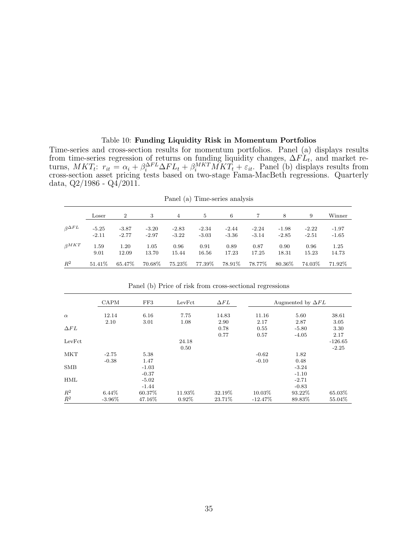#### Table 10: **Funding Liquidity Risk in Momentum Portfolios**

Time-series and cross-section results for momentum portfolios. Panel (a) displays results from time-series regression of returns on funding liquidity changes, ∆*F L<sup>t</sup>* , and market returns,  $MKT_t$ :  $r_{it} = \alpha_i + \beta_i^{\Delta FL} \Delta FL_t + \beta_i^{MKT} \tilde{MKT_t} + \varepsilon_{it}$ . Panel (b) displays results from cross-section asset pricing tests based on two-stage Fama-MacBeth regressions. Quarterly data,  $Q2/1986 - Q4/2011$ .

|                     |                    |                    |                    |                    |                    | $\pm$ and $\sqrt{\alpha}$ $\pm$ mic series and $\sqrt{\alpha}$ |                    |                    |                    |                    |
|---------------------|--------------------|--------------------|--------------------|--------------------|--------------------|----------------------------------------------------------------|--------------------|--------------------|--------------------|--------------------|
|                     | Loser              | $\overline{2}$     | 3                  | 4                  | 5                  | 6                                                              |                    | 8                  | 9                  | Winner             |
| $\beta^{\Delta FL}$ | $-5.25$<br>$-2.11$ | $-3.87$<br>$-2.77$ | $-3.20$<br>$-2.97$ | $-2.83$<br>$-3.22$ | $-2.34$<br>$-3.03$ | $-2.44$<br>$-3.36$                                             | $-2.24$<br>$-3.14$ | $-1.98$<br>$-2.85$ | $-2.22$<br>$-2.51$ | $-1.97$<br>$-1.65$ |
| $\beta^{MKT}$       | 1.59<br>9.01       | 1.20<br>12.09      | 1.05<br>13.70      | 0.96<br>15.44      | 0.91<br>16.56      | 0.89<br>17.23                                                  | 0.87<br>17.25      | 0.90<br>18.31      | 0.96<br>15.23      | 1.25<br>14.73      |
| $R^2$               | 51.41\%            | 65.47\%            | 70.68%             | $75.23\%$          | 77.39%             | $78.91\%$                                                      | 78.77%             | $80.36\%$          | 74.03%             | 71.92%             |

Panel (a) Time-series analysis

|             | CAPM      | FF3     | LevFct   | $\Delta FL$ |           | Augmented by $\Delta FL$ |           |
|-------------|-----------|---------|----------|-------------|-----------|--------------------------|-----------|
| $\alpha$    | 12.14     | 6.16    | 7.75     | 14.83       | 11.16     | 5.60                     | 38.61     |
|             | 2.10      | 3.01    | 1.08     | 2.90        | 2.17      | 2.87                     | 3.05      |
| $\Delta FL$ |           |         |          | 0.78        | 0.55      | $-5.80$                  | 3.30      |
|             |           |         |          | 0.77        | 0.57      | $-4.05$                  | 2.17      |
| LevFct      |           |         | 24.18    |             |           |                          | $-126.65$ |
|             |           |         | 0.50     |             |           |                          | $-2.25$   |
| <b>MKT</b>  | $-2.75$   | 5.38    |          |             | $-0.62$   | 1.82                     |           |
|             | $-0.38$   | 1.47    |          |             | $-0.10$   | 0.48                     |           |
| <b>SMB</b>  |           | $-1.03$ |          |             |           | $-3.24$                  |           |
|             |           | $-0.37$ |          |             |           | $-1.10$                  |           |
| HML         |           | $-5.02$ |          |             |           | $-2.71$                  |           |
|             |           | $-1.44$ |          |             |           | $-0.83$                  |           |
| $R^2$       | $6.44\%$  | 60.37%  | 11.93%   | 32.19%      | 10.03%    | 93.22%                   | 65.03%    |
| $\bar{R}^2$ | $-3.96\%$ | 47.16%  | $0.92\%$ | 23.71%      | $-12.47%$ | 89.83%                   | 55.04\%   |

Panel (b) Price of risk from cross-sectional regressions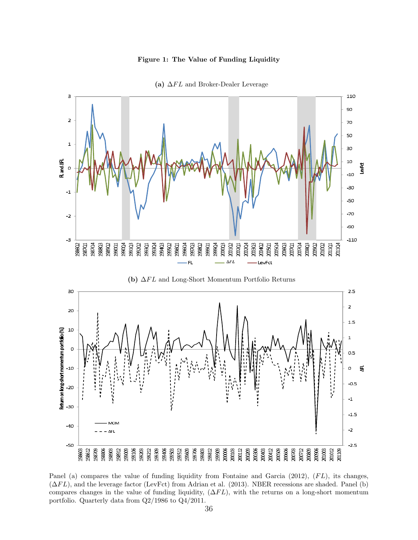#### **Figure 1: The Value of Funding Liquidity**



**(a)** ∆*F L* and Broker-Dealer Leverage

Panel (a) compares the value of funding liquidity from Fontaine and Garcia (2012),  $(FL)$ , its changes, (∆*F L*), and the leverage factor (LevFct) from Adrian et al. (2013). NBER recessions are shaded. Panel (b) compares changes in the value of funding liquidity, (∆*F L*), with the returns on a long-short momentum portfolio. Quarterly data from Q2/1986 to Q4/2011.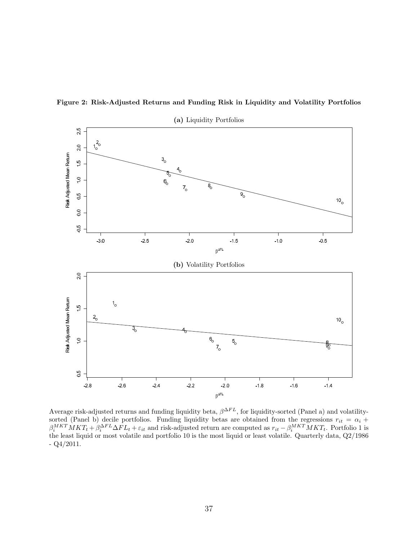

**Figure 2: Risk-Adjusted Returns and Funding Risk in Liquidity and Volatility Portfolios**

Average risk-adjusted returns and funding liquidity beta,  $\beta^{\Delta FL}$ , for liquidity-sorted (Panel a) and volatilitysorted (Panel b) decile portfolios. Funding liquidity betas are obtained from the regressions  $r_{it} = \alpha_i + \alpha_i$  $\beta_i^{MKT}MKT_t+\beta_i^{\Delta FL}\Delta FL_t+\varepsilon_{it}$  and risk-adjusted return are computed as  $r_{it}-\beta_i^{MKT}MKT_t$ . Portfolio 1 is the least liquid or most volatile and portfolio 10 is the most liquid or least volatile. Quarterly data, Q2/1986  $-Q4/2011$ .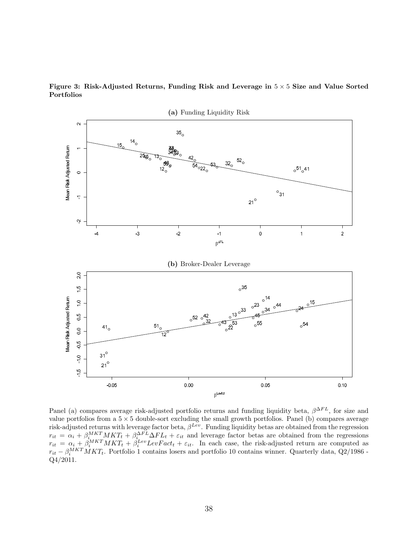



Panel (a) compares average risk-adjusted portfolio returns and funding liquidity beta, *β* <sup>∆</sup>*F L*, for size and value portfolios from a 5 *×* 5 double-sort excluding the small growth portfolios. Panel (b) compares average risk-adjusted returns with leverage factor beta,  $\beta^{Lev}$ . Funding liquidity betas are obtained from the regression  $r_{it} = \alpha_i + \beta_i^{MKT} MKT_t + \beta_i^{\Delta FL} \Delta FL_t + \varepsilon_{it}$  and leverage factor betas are obtained from the regressions  $r_{it} = \alpha_i + \beta_i^{MKT} MKT_t + \beta_i^{Lev} LevFact_t + \varepsilon_{it}$ . In each case, the risk-adjusted return are computed as  $r_{it} - \beta_i^{MKT} MKT_t$ . Portfolio 1 contains losers and portfolio 10 contains winner. Quarterly data, Q2/1986 -Q4/2011.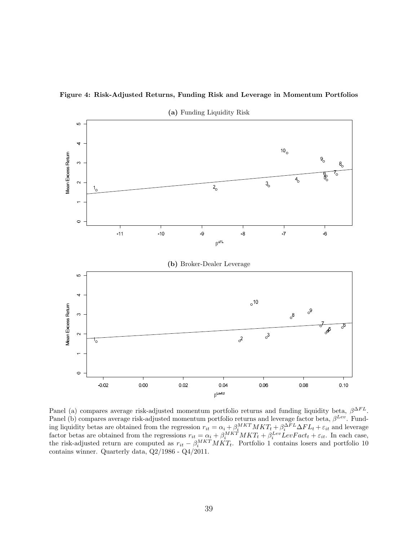



**(a)** Funding Liquidity Risk

Panel (a) compares average risk-adjusted momentum portfolio returns and funding liquidity beta, *β* <sup>∆</sup>*F L*. Panel (b) compares average risk-adjusted momentum portfolio returns and leverage factor beta, *β Lev*. Funding liquidity betas are obtained from the regression  $r_{it} = \alpha_i + \beta_i^{MKT} MKT_t + \beta_i^{\Delta FL}\Delta FL_t + \varepsilon_{it}$  and leverage factor betas are obtained from the regressions  $r_{it} = \alpha_i + \beta_i^{MKT} MKT_t + \beta_i^{Lev} LevFact_t + \varepsilon_{it}$ . In each case, the risk-adjusted return are computed as  $r_{it} - \beta_i^{MKT} MKT_t$ . Portfolio 1 contains losers and portfolio 10 contains winner. Quarterly data, Q2/1986 - Q4/2011.